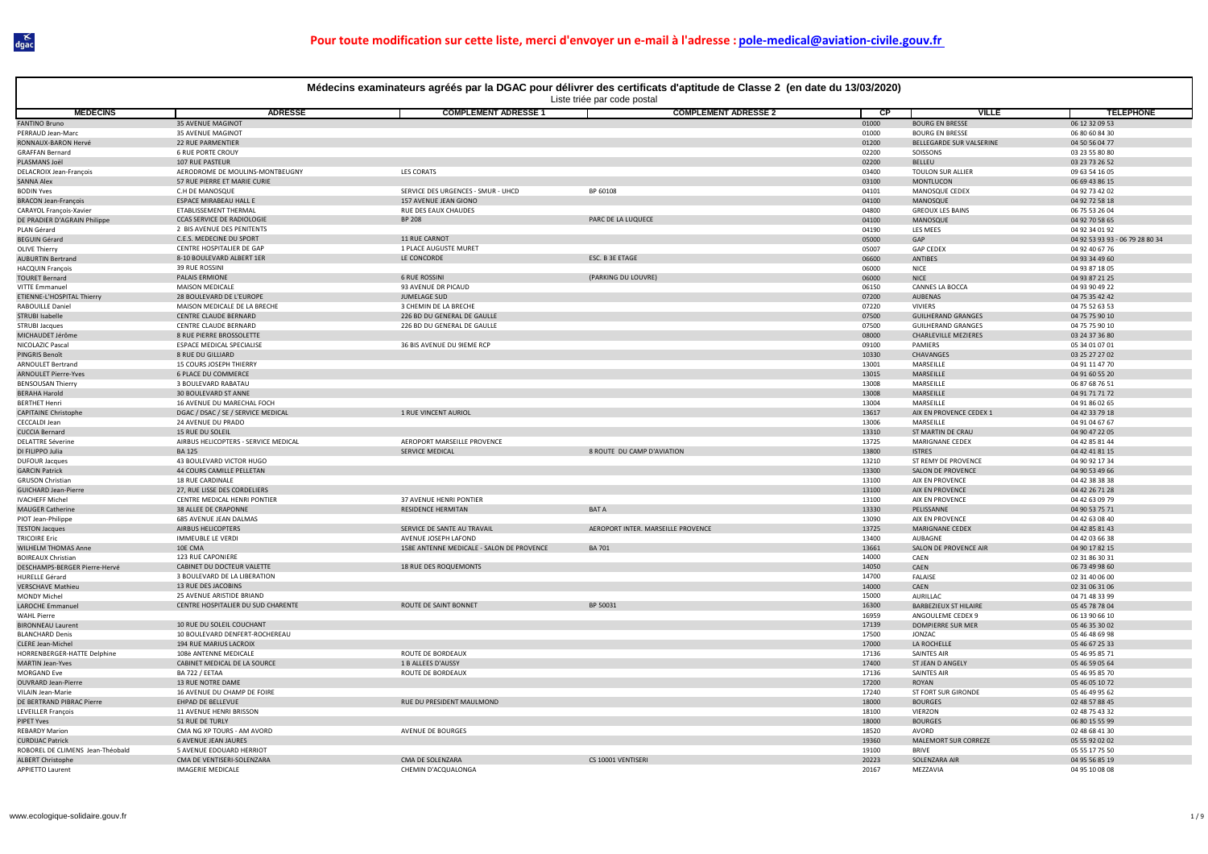|                                                         | Médecins examinateurs agréés par la DGAC pour délivrer des certificats d'aptitude de Classe 2 (en date du 13/03/2020) |                                                     |                                    |                |                                                   |                                  |  |  |  |
|---------------------------------------------------------|-----------------------------------------------------------------------------------------------------------------------|-----------------------------------------------------|------------------------------------|----------------|---------------------------------------------------|----------------------------------|--|--|--|
|                                                         |                                                                                                                       |                                                     | Liste triée par code postal        |                |                                                   |                                  |  |  |  |
| <b>MEDECINS</b>                                         | <b>ADRESSE</b>                                                                                                        | <b>COMPLEMENT ADRESSE 1</b>                         | <b>COMPLEMENT ADRESSE 2</b>        | $\overline{c}$ | <b>VILLE</b><br><b>BOURG EN BRESSE</b>            | <b>TELEPHONE</b>                 |  |  |  |
| <b>FANTINO Bruno</b><br>PERRAUD Jean-Marc               | <b>35 AVENUE MAGINOT</b><br>35 AVENUE MAGINOT                                                                         |                                                     |                                    | 01000<br>01000 | <b>BOURG EN BRESSE</b>                            | 06 12 32 09 53<br>06 80 60 84 30 |  |  |  |
| RONNAUX-BARON Hervé                                     | 22 RUE PARMENTIER                                                                                                     |                                                     |                                    | 01200          | BELLEGARDE SUR VALSERINE                          | 04 50 56 04 77                   |  |  |  |
| <b>GRAFFAN Bernard</b>                                  | <b>6 RUE PORTE CROUY</b>                                                                                              |                                                     |                                    | 02200          | SOISSONS                                          | 03 23 55 80 80                   |  |  |  |
| PLASMANS Joël                                           | 107 RUE PASTEUR                                                                                                       |                                                     |                                    | 02200          | BELLEU                                            | 03 23 73 26 52                   |  |  |  |
| <b>DELACROIX Jean-François</b>                          | AERODROME DE MOULINS-MONTBEUGNY                                                                                       | <b>LES CORATS</b>                                   |                                    | 03400          | <b>TOULON SUR ALLIER</b>                          | 09 63 54 16 05                   |  |  |  |
| SANNA Alex                                              | 57 RUE PIERRE ET MARIE CURIE                                                                                          |                                                     |                                    | 03100          | MONTLUCON                                         | 06 69 43 86 15                   |  |  |  |
| <b>BODIN Yves</b>                                       | C.H DE MANOSQUE                                                                                                       | SERVICE DES URGENCES - SMUR - UHCD                  | BP 60108                           | 04101          | MANOSQUE CEDEX                                    | 04 92 73 42 02                   |  |  |  |
| <b>BRACON Jean-François</b>                             | ESPACE MIRABEAU HALL E                                                                                                | 157 AVENUE JEAN GIONO                               |                                    | 04100          | MANOSQUE                                          | 04 92 72 58 18                   |  |  |  |
| CARAYOL François-Xavier<br>DE PRADIER D'AGRAIN Philippe | ETABLISSEMENT THERMAL<br>CCAS SERVICE DE RADIOLOGIE                                                                   | RUE DES EAUX CHAUDES<br><b>BP 208</b>               | PARC DE LA LUQUECE                 | 04800<br>04100 | <b>GREOUX LES BAINS</b><br>MANOSQUE               | 06 75 53 26 04<br>04 92 70 58 65 |  |  |  |
| PLAN Gérard                                             | 2 BIS AVENUE DES PENITENTS                                                                                            |                                                     |                                    | 04190          | LES MEES                                          | 04 92 34 01 92                   |  |  |  |
| <b>BEGUIN Gérard</b>                                    | C.E.S. MEDECINE DU SPORT                                                                                              | 11 RUE CARNOT                                       |                                    | 05000          | GAP                                               | 04 92 53 93 93 - 06 79 28 80 34  |  |  |  |
| <b>OLIVE Thierry</b>                                    | CENTRE HOSPITALIER DE GAP                                                                                             | 1 PLACE AUGUSTE MURET                               |                                    | 05007          | <b>GAP CEDEX</b>                                  | 04 92 40 67 76                   |  |  |  |
| <b>AUBURTIN Bertrand</b>                                | 8-10 BOULEVARD ALBERT 1ER                                                                                             | LE CONCORDE                                         | ESC. B 3E ETAGE                    | 06600          | ANTIBES                                           | 04 93 34 49 60                   |  |  |  |
| <b>HACQUIN François</b>                                 | 39 RUE ROSSINI                                                                                                        |                                                     |                                    | 06000          | <b>NICE</b>                                       | 04 93 87 18 05                   |  |  |  |
| <b>TOURET Bernard</b>                                   | PALAIS ERMIONE<br><b>MAISON MEDICALE</b>                                                                              | <b>6 RUE ROSSINI</b><br>93 AVENUE DR PICAUD         | (PARKING DU LOUVRE)                | 06000          | <b>NICE</b><br>CANNES LA BOCCA                    | 04 93 87 21 25<br>04 93 90 49 22 |  |  |  |
| <b>VITTE Emmanuel</b><br>ETIENNE-L'HOSPITAL Thierry     | 28 BOULEVARD DE L'EUROPE                                                                                              | JUMELAGE SUD                                        |                                    | 06150<br>07200 | AUBENAS                                           | 04 75 35 42 42                   |  |  |  |
| <b>RABOULLE Daniel</b>                                  | MAISON MEDICALE DE LA BRECHE                                                                                          | 3 CHEMIN DE LA BRECHE                               |                                    | 07220          | <b>VIVIERS</b>                                    | 04 75 52 63 53                   |  |  |  |
| STRUBI Isabelle                                         | CENTRE CLAUDE BERNARD                                                                                                 | 226 BD DU GENERAL DE GAULLE                         |                                    | 07500          | <b>GUILHERAND GRANGES</b>                         | 04 75 75 90 10                   |  |  |  |
| <b>STRUBI Jacques</b>                                   | CENTRE CLAUDE BERNARD                                                                                                 | 226 BD DU GENERAL DE GAULLE                         |                                    | 07500          | <b>GUILHERAND GRANGES</b>                         | 04 75 75 90 10                   |  |  |  |
| MICHAUDET Jérôme                                        | 8 RUE PIERRE BROSSOLETTE                                                                                              |                                                     |                                    | 08000          | <b>CHARLEVILLE MEZIERES</b>                       | 03 24 37 36 80                   |  |  |  |
| NICOLAZIC Pascal                                        | <b>ESPACE MEDICAL SPECIALISE</b>                                                                                      | 36 BIS AVENUE DU 9IEME RCP                          |                                    | 09100          | PAMIERS                                           | 05 34 01 07 01                   |  |  |  |
| PINGRIS Benoît                                          | 8 RUE DU GILLIARD                                                                                                     |                                                     |                                    | 10330          | CHAVANGES                                         | 03 25 27 27 02                   |  |  |  |
| ARNOULET Bertrand<br><b>ARNOULET Pierre-Yves</b>        | 15 COURS JOSEPH THIERRY<br><b>6 PLACE DU COMMERCE</b>                                                                 |                                                     |                                    | 13001<br>13015 | MARSEILLE<br>MARSEILLE                            | 04 91 11 47 70<br>04 91 60 55 20 |  |  |  |
| <b>BENSOUSAN Thierry</b>                                | 3 BOULEVARD RABATAU                                                                                                   |                                                     |                                    | 13008          | MARSEILLE                                         | 06 87 68 76 51                   |  |  |  |
| <b>BERAHA Harold</b>                                    | 30 BOULEVARD ST ANNE                                                                                                  |                                                     |                                    | 13008          | MARSEILLE                                         | 04 91 71 71 72                   |  |  |  |
| <b>BERTHET Henri</b>                                    | 16 AVENUE DU MARECHAL FOCH                                                                                            |                                                     |                                    | 13004          | MARSEILLE                                         | 04 91 86 02 65                   |  |  |  |
| <b>CAPITAINE Christophe</b>                             | DGAC / DSAC / SE / SERVICE MEDICAL                                                                                    | 1 RUE VINCENT AURIOL                                |                                    | 13617          | AIX EN PROVENCE CEDEX 1                           | 04 42 33 79 18                   |  |  |  |
| <b>CECCALDI Jean</b>                                    | 24 AVENUE DU PRADO                                                                                                    |                                                     |                                    | 13006          | MARSEILLE                                         | 04 91 04 67 67                   |  |  |  |
| <b>CUCCIA Bernard</b>                                   | 15 RUE DU SOLEIL                                                                                                      |                                                     |                                    | 13310          | ST MARTIN DE CRAU                                 | 04 90 47 22 05                   |  |  |  |
| <b>DELATTRE Séverine</b>                                | AIRBUS HELICOPTERS - SERVICE MEDICAL<br><b>BA125</b>                                                                  | AEROPORT MARSEILLE PROVENCE<br>SERVICE MEDICAL      | 8 ROUTE DU CAMP D'AVIATION         | 13725          | MARIGNANE CEDEX                                   | 04 42 85 81 44                   |  |  |  |
| DI FILIPPO Julia<br><b>DUFOUR Jacques</b>               | 43 BOULEVARD VICTOR HUGO                                                                                              |                                                     |                                    | 13800<br>13210 | <b>ISTRES</b><br>ST REMY DE PROVENCE              | 04 42 41 81 15<br>04 90 92 17 34 |  |  |  |
| <b>GARCIN Patrick</b>                                   | 44 COURS CAMILLE PELLETAN                                                                                             |                                                     |                                    | 13300          | SALON DE PROVENCE                                 | 04 90 53 49 66                   |  |  |  |
| <b>GRUSON Christian</b>                                 | <b>18 RUE CARDINALE</b>                                                                                               |                                                     |                                    | 13100          | AIX EN PROVENCE                                   | 04 42 38 38 38                   |  |  |  |
| <b>GUICHARD Jean-Pierre</b>                             | 27, RUE LISSE DES CORDELIERS                                                                                          |                                                     |                                    | 13100          | AIX EN PROVENCE                                   | 04 42 26 71 28                   |  |  |  |
| <b>IVACHEFF Michel</b>                                  | CENTRE MEDICAL HENRI PONTIER                                                                                          | 37 AVENUE HENRI PONTIER                             |                                    | 13100          | AIX EN PROVENCE                                   | 04 42 63 09 79                   |  |  |  |
| <b>MAUGER Catherine</b>                                 | 38 ALLEE DE CRAPONNE                                                                                                  | <b>RESIDENCE HERMITAN</b>                           | <b>BATA</b>                        | 13330          | PELISSANNE                                        | 04 90 53 75 71                   |  |  |  |
| PIOT Jean-Philippe                                      | 685 AVENUE JEAN DALMAS                                                                                                |                                                     |                                    | 13090          | AIX EN PROVENCE                                   | 04 42 63 08 40                   |  |  |  |
| <b>TESTON Jacques</b>                                   | AIRBUS HELICOPTERS                                                                                                    | SERVICE DE SANTE AU TRAVAIL<br>AVENUE JOSEPH LAFOND | AEROPORT INTER. MARSEILLE PROVENCE | 13725          | MARIGNANE CEDEX<br>AURAGNE                        | 04 42 85 81 43                   |  |  |  |
| <b>TRICOIRE Eric</b><br>WILHELM THOMAS Anne             | <b>IMMEUBLE LE VERDI</b><br>10E CMA                                                                                   | 158E ANTENNE MEDICALE - SALON DE PROVENCE           | <b>BA701</b>                       | 13400<br>13661 | SALON DE PROVENCE AIR                             | 04 42 03 66 38<br>04 90 17 82 15 |  |  |  |
| <b>BOIREAUX Christian</b>                               | 123 RUE CAPONIERE                                                                                                     |                                                     |                                    | 14000          | CAFN                                              | 02 31 86 30 31                   |  |  |  |
| DESCHAMPS-BERGER Pierre-Hervé                           | CABINET DU DOCTEUR VALETTE                                                                                            | 18 RUE DES ROQUEMONTS                               |                                    | 14050          | CAEN                                              | 06 73 49 98 60                   |  |  |  |
| <b>HURELLE Gérard</b>                                   | 3 BOULEVARD DE LA LIBERATION                                                                                          |                                                     |                                    | 14700          | <b>FALAISE</b>                                    | 02 31 40 06 00                   |  |  |  |
| <b>VERSCHAVE Mathieu</b>                                | 13 RUE DES JACOBINS                                                                                                   |                                                     |                                    | 14000          | CAEN                                              | 02 31 06 31 06                   |  |  |  |
| <b>MONDY Michel</b>                                     | 25 AVENUE ARISTIDE BRIAND                                                                                             |                                                     |                                    | 15000          | AURILLAC                                          | 04 71 48 33 99                   |  |  |  |
| <b>LAROCHE Emmanuel</b><br><b>WAHL Pierre</b>           | CENTRE HOSPITALIER DU SUD CHARENTE                                                                                    | ROUTE DE SAINT BONNET                               | BP 50031                           | 16300<br>16959 | <b>BARBEZIEUX ST HILAIRE</b><br>ANGOULEME CEDEX 9 | 05 45 78 78 04<br>06 13 90 66 10 |  |  |  |
| <b>BIRONNEAU Laurent</b>                                | 10 RUE DU SOLEIL COUCHANT                                                                                             |                                                     |                                    | 17139          | DOMPIERRE SUR MER                                 | 05 46 35 30 02                   |  |  |  |
| <b>BLANCHARD Denis</b>                                  | 10 BOULEVARD DENFERT-ROCHEREAU                                                                                        |                                                     |                                    | 17500          | JONZAC                                            | 05 46 48 69 98                   |  |  |  |
| CLERE Jean-Michel                                       | <b>194 RUE MARIUS LACROIX</b>                                                                                         |                                                     |                                    | 17000          | LA ROCHELLE                                       | 05 46 67 25 33                   |  |  |  |
| HORRENBERGER-HATTE Delphine                             | 108è ANTENNE MEDICALE                                                                                                 | ROUTE DE BORDEAUX                                   |                                    | 17136          | SAINTES AIR                                       | 05 46 95 85 71                   |  |  |  |
| <b>MARTIN Jean-Yves</b>                                 | CABINET MEDICAL DE LA SOURCE                                                                                          | 1 B ALLEES D'AUSSY                                  |                                    | 17400          | ST JEAN D ANGELY                                  | 05 46 59 05 64                   |  |  |  |
| <b>MORGAND Eve</b>                                      | <b>BA 722 / EETAA</b>                                                                                                 | ROUTE DE BORDEAUX                                   |                                    | 17136          | <b>SAINTES AIR</b>                                | 05 46 95 85 70                   |  |  |  |
| <b>OUVRARD Jean-Pierre</b>                              | 13 RUE NOTRE DAME                                                                                                     |                                                     |                                    | 17200          | ROYAN                                             | 05 46 05 10 72                   |  |  |  |
| VILAIN Jean-Marie                                       | 16 AVENUE DU CHAMP DE FOIRE<br>EHPAD DE BELLEVUE                                                                      | RUE DU PRESIDENT MAULMOND                           |                                    | 17240<br>18000 | ST FORT SUR GIRONDE<br><b>BOURGES</b>             | 05 46 49 95 62                   |  |  |  |
| DE BERTRAND PIBRAC Pierre<br><b>LEVEILLER François</b>  | 11 AVENUE HENRI BRISSON                                                                                               |                                                     |                                    | 18100          | VIERZON                                           | 02 48 57 88 45<br>02 48 75 43 32 |  |  |  |
| PIPET Yves                                              | 51 RUE DE TURLY                                                                                                       |                                                     |                                    | 18000          | <b>BOURGES</b>                                    | 06 80 15 55 99                   |  |  |  |
| <b>REBARDY Marion</b>                                   | CMA NG XP TOURS - AM AVORD                                                                                            | AVENUE DE BOURGES                                   |                                    | 18520          | AVORD                                             | 02 48 68 41 30                   |  |  |  |
| <b>CURDIJAC Patrick</b>                                 | <b>6 AVENUE JEAN JAURES</b>                                                                                           |                                                     |                                    | 19360          | MALEMORT SUR CORREZE                              | 05 55 92 02 02                   |  |  |  |
| ROBOREL DE CLIMENS Jean-Théobald                        | 5 AVENUE EDOUARD HERRIOT                                                                                              |                                                     |                                    | 19100          | <b>BRIVE</b>                                      | 05 55 17 75 50                   |  |  |  |
| <b>ALBERT Christophe</b>                                | CMA DE VENTISERI-SOLENZARA                                                                                            | CMA DE SOLENZARA                                    | CS 10001 VENTISERI                 | 20223          | SOLENZARA AII                                     | 04 95 56 85 19                   |  |  |  |
| <b>APPIETTO Laurent</b>                                 | <b>IMAGERIE MEDICALE</b>                                                                                              | CHEMIN D'ACQUALONGA                                 |                                    | 20167          | MEZZAVIA                                          | 04 95 10 08 08                   |  |  |  |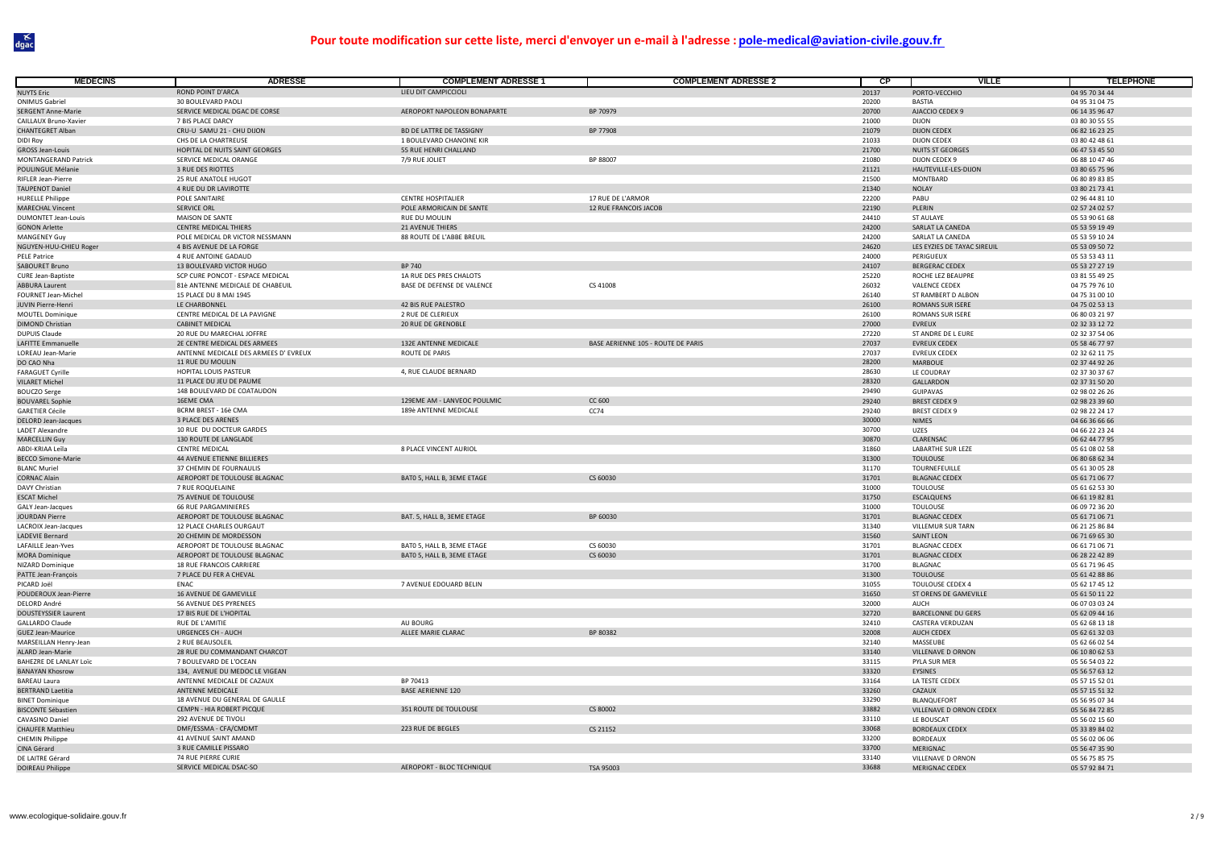| <b>MEDECINS</b>                                    | <b>ADRESSE</b>                                               | <b>COMPLEMENT ADRESSE 1</b>                              | <b>COMPLEMENT ADRESSE 2</b>        | $\overline{CP}$ | <b>VILLE</b>                                 | <b>TELEPHONE</b>                 |
|----------------------------------------------------|--------------------------------------------------------------|----------------------------------------------------------|------------------------------------|-----------------|----------------------------------------------|----------------------------------|
| <b>NUYTS Eric</b>                                  | ROND POINT D'ARCA                                            | LIFU DIT CAMPICCIOLI                                     |                                    | 20137           | PORTO-VECCHIO                                | 04 95 70 34 44                   |
| <b>ONIMUS Gabriel</b>                              | 30 BOULEVARD PAOL                                            |                                                          |                                    | 20200           | <b>BASTIA</b>                                | 04 95 31 04 75                   |
| <b>SERGENT Anne-Marie</b>                          | SERVICE MEDICAL DGAC DE CORSE                                | AEROPORT NAPOLEON BONAPARTE                              | BP 70979                           | 20700           | AJACCIO CEDEX 9                              | 06 14 35 96 47                   |
| CAILLAUX Bruno-Xavier                              | 7 BIS PLACE DARCY                                            |                                                          |                                    | 21000           | <b>DIJON</b>                                 | 03 80 30 55 55                   |
| <b>CHANTEGRET Alban</b>                            | CRU-U SAMU 21 - CHU DIJON                                    | BD DE LATTRE DE TASSIGNY                                 | BP 77908                           | 21079           | <b>DIJON CEDEX</b>                           | 06 82 16 23 25                   |
| DIDI Roy                                           | CHS DE LA CHARTREUSE                                         | 1 BOULEVARD CHANOINE KIR                                 |                                    | 21033           | <b>DIJON CEDEX</b>                           | 03 80 42 48 61                   |
| <b>GROSS Jean-Louis</b><br>MONTANGERAND Patrick    | HOPITAL DE NUITS SAINT GEORGES<br>SERVICE MEDICAL ORANGE     | 55 RUE HENRI CHALLAND<br>7/9 RUE JOLIET                  | BP 88007                           | 21700<br>21080  | <b>NUITS ST GEORGES</b><br>DIJON CEDEX 9     | 06 47 53 45 50<br>06 88 10 47 46 |
| POULINGUE Mélanie                                  | 3 RUE DES RIOTTES                                            |                                                          |                                    | 21121           | HAUTEVILLE-LES-DIJON                         | 03 80 65 75 96                   |
| RIFLER Jean-Pierre                                 | 25 RUE ANATOLE HUGOT                                         |                                                          |                                    | 21500           | <b>MONTBARD</b>                              | 06 80 89 83 85                   |
| <b>TAUPENOT Daniel</b>                             | 4 RUE DU DR LAVIROTTE                                        |                                                          |                                    | 21340           | <b>NOLAY</b>                                 | 03 80 21 73 41                   |
| <b>HURELLE Philippe</b>                            | POLE SANITAIRE                                               | <b>CENTRE HOSPITALIER</b>                                | 17 RUE DE L'ARMOR                  | 22200           | PABU                                         | 02 96 44 81 10                   |
| <b>MARECHAL Vincent</b>                            | SERVICE ORL                                                  | POLE ARMORICAIN DE SANTE                                 | 12 RUE FRANCOIS JACOB              | 22190           | PLERIN                                       | 02 57 24 02 57                   |
| <b>DUMONTET Jean-Louis</b><br><b>GONON Arlette</b> | MAISON DE SANTE<br><b>CENTRE MEDICAL THIERS</b>              | RUE DU MOULIN<br>21 AVENUE THIERS                        |                                    | 24410<br>24200  | ST AULAYE<br>SARLAT LA CANEDA                | 05 53 90 61 68<br>05 53 59 19 49 |
| MANGENEY Guy                                       | POLE MEDICAL DR VICTOR NESSMANN                              | 88 ROUTE DE L'ABBE BREUIL                                |                                    | 24200           | SARLAT LA CANEDA                             | 05 53 59 10 24                   |
| NGUYEN-HUU-CHIEU Roger                             | 4 BIS AVENUE DE LA FORGE                                     |                                                          |                                    | 24620           | LES EYZIES DE TAYAC SIREUIL                  | 05 53 09 50 72                   |
| PELE Patrice                                       | 4 RUE ANTOINE GADAUD                                         |                                                          |                                    | 24000           | PERIGUEUX                                    | 05 53 53 43 11                   |
| SABOURET Bruno                                     | 13 BOULEVARD VICTOR HUGO                                     | BP 740                                                   |                                    | 24107           | <b>BERGERAC CEDEX</b>                        | 05 53 27 27 19                   |
| <b>CURE Jean-Baptiste</b>                          | SCP CURE PONCOT - ESPACE MEDICAL                             | 1A RUE DES PRES CHALOTS                                  |                                    | 25220           | ROCHE LEZ BEAUPRE                            | 03 81 55 49 25                   |
| <b>ABBURA Laurent</b>                              | 81è ANTENNE MEDICALE DE CHABEUIL                             | BASE DE DEFENSE DE VALENCE                               | CS 41008                           | 26032           | VALENCE CEDEX                                | 04 75 79 76 10                   |
| FOURNET Jean-Michel                                | 15 PLACE DU 8 MAI 1945                                       |                                                          |                                    | 26140           | ST RAMBERT D ALBON                           | 04 75 31 00 10                   |
| JUVIN Pierre-Henri<br>MOUTEL Dominique             | LE CHARBONNEL<br>CENTRE MEDICAL DE LA PAVIGNE                | 42 BIS RUE PALESTRO<br>2 RUE DE CLERIEUX                 |                                    | 26100<br>26100  | ROMANS SUR ISERE<br>ROMANS SUR ISERE         | 04 75 02 53 13<br>06 80 03 21 97 |
| <b>DIMOND Christian</b>                            | <b>CABINET MEDICAL</b>                                       | 20 RUE DE GRENOBLE                                       |                                    | 27000           | <b>EVREUX</b>                                | 02 32 33 12 72                   |
| <b>DUPUIS Claude</b>                               | 20 RUE DU MARECHAL JOFFRE                                    |                                                          |                                    | 27220           | ST ANDRE DE L EURE                           | 02 32 37 54 06                   |
| <b>LAFITTE Emmanuelle</b>                          | 2E CENTRE MEDICAL DES ARMEES                                 | 132E ANTENNE MEDICALE                                    | BASE AERIENNE 105 - ROUTE DE PARIS | 27037           | <b>EVREUX CEDEX</b>                          | 05 58 46 77 97                   |
| LOREAU Jean-Marie                                  | ANTENNE MEDICALE DES ARMEES D' EVREUX                        | ROUTE DE PARIS                                           |                                    | 27037           | <b>EVREUX CEDEX</b>                          | 02 32 62 11 75                   |
| DO CAO Nha                                         | <b>11 RUE DU MOULIN</b>                                      |                                                          |                                    | 28200           | <b>MARBOUE</b>                               | 02 37 44 92 26                   |
| <b>FARAGUET Cyrille</b>                            | HOPITAL LOUIS PASTEUR                                        | 4, RUE CLAUDE BERNARD                                    |                                    | 28630           | LE COUDRAY                                   | 02 37 30 37 67                   |
| <b>VILARET Michel</b><br><b>BOUCZO Serge</b>       | 11 PLACE DU JEU DE PAUME<br>148 BOULEVARD DE COATAUDON       |                                                          |                                    | 28320<br>29490  | GALLARDON<br><b>GUIPAVAS</b>                 | 02 37 31 50 20<br>02 98 02 26 26 |
| <b>BOUVAREL Sophie</b>                             | 16EME CMA                                                    | 129EME AM - LANVEOC POULMIC                              | CC 600                             | 29240           | <b>BREST CEDEX 9</b>                         | 02 98 23 39 60                   |
| <b>GARETIER Cécile</b>                             | BCRM BREST - 16è CMA                                         | 189è ANTENNE MEDICALE                                    | CC74                               | 29240           | <b>BREST CEDEX 9</b>                         | 02 98 22 24 17                   |
| <b>DELORD Jean-Jacques</b>                         | 3 PLACE DES ARENES                                           |                                                          |                                    | 30000           | <b>NIMES</b>                                 | 04 66 36 66 66                   |
| <b>LADET Alexandre</b>                             | 10 RUE DU DOCTEUR GARDES                                     |                                                          |                                    | 30700           | UZES                                         | 04 66 22 23 24                   |
| <b>MARCELLIN Guy</b>                               | 130 ROUTE DE LANGLADE                                        |                                                          |                                    | 30870           | CLARENSAC                                    | 06 62 44 77 95                   |
| ABDI-KRIAA Leïla                                   | <b>CENTRE MEDICAL</b>                                        | 8 PLACE VINCENT AURIOL                                   |                                    | 31860           | <b>LABARTHE SUR LEZE</b>                     | 05 61 08 02 58                   |
| <b>BECCO Simone-Marie</b><br><b>BLANC Muriel</b>   | 44 AVENUE ETIENNE BILLIERES<br>37 CHEMIN DE FOURNAULIS       |                                                          |                                    | 31300<br>31170  | <b>TOULOUSE</b><br>TOURNEFEUILLE             | 06 80 68 62 34<br>05 61 30 05 28 |
| <b>CORNAC Alain</b>                                | AEROPORT DE TOULOUSE BLAGNAC                                 | BATO 5, HALL B, 3EME ETAGE                               | CS 60030                           | 31701           | <b>BLAGNAC CEDEX</b>                         | 05 61 71 06 77                   |
| <b>DAVY Christian</b>                              | 7 RUE ROQUELAINE                                             |                                                          |                                    | 31000           | <b>TOULOUSE</b>                              | 05 61 62 53 30                   |
| <b>FSCAT Michel</b>                                | 75 AVENUE DE TOULOUSE                                        |                                                          |                                    | 31750           | <b>ESCALQUENS</b>                            | 06 61 19 82 81                   |
| GALY Jean-Jacques                                  | <b>66 RUE PARGAMINIERES</b>                                  |                                                          |                                    | 31000           | <b>TOULOUSE</b>                              | 06 09 72 36 20                   |
| <b>JOURDAN Pierre</b>                              | AEROPORT DE TOULOUSE BLAGNAC                                 | BAT. 5, HALL B, 3EME ETAGE                               | BP 60030                           | 31701           | <b>BLAGNAC CEDEX</b>                         | 05 61 71 06 71                   |
| <b>LACROIX Jean-Jacques</b>                        | 12 PLACE CHARLES OURGAUT                                     |                                                          |                                    | 31340           | VILLEMUR SUR TARN                            | 06 21 25 86 84                   |
| LADEVIE Bernard                                    | 20 CHEMIN DE MORDESSON                                       |                                                          |                                    | 31560           | <b>SAINT LEON</b>                            | 06 71 69 65 30                   |
| LAFAILLE Jean-Yves<br><b>MORA Dominique</b>        | AEROPORT DE TOULOUSE BLAGNAC<br>AEROPORT DE TOULOUSE BLAGNAC | BATO 5, HALL B, 3EME ETAGE<br>BATO 5, HALL B, 3EME ETAGE | CS 60030<br>CS 60030               | 31701<br>31701  | <b>BLAGNAC CEDEX</b><br><b>BLAGNAC CEDEX</b> | 06 61 71 06 71<br>06 28 22 42 89 |
| NIZARD Dominique                                   | <b>18 RUE FRANCOIS CARRIERE</b>                              |                                                          |                                    | 31700           | <b>BLAGNAC</b>                               | 05 61 71 96 45                   |
| PATTE Jean-François                                | 7 PLACE DU FER A CHEVAL                                      |                                                          |                                    | 31300           | <b>TOULOUSE</b>                              | 05 61 42 88 86                   |
| PICARD Joël                                        | FNAC                                                         | 7 AVENUE EDOUARD BELIN                                   |                                    | 31055           | <b>TOULOUSE CEDEX 4</b>                      | 05 62 17 45 12                   |
| POUDEROUX Jean-Pierre                              | 16 AVENUE DE GAMEVILLE                                       |                                                          |                                    | 31650           | ST ORENS DE GAMEVILLE                        | 05 61 50 11 22                   |
| <b>DELORD André</b>                                | 56 AVENUE DES PYRENEES                                       |                                                          |                                    | 32000           | AUCH                                         | 06 07 03 03 24                   |
| DOUSTEYSSIER Laurent                               | 17 BIS RUE DE L'HOPITAL                                      |                                                          |                                    | 32720           | <b>BARCELONNE DU GERS</b>                    | 05 62 09 44 16                   |
| <b>GALLARDO Claude</b><br><b>GUEZ Jean-Maurice</b> | RUE DE L'AMITIE<br><b>URGENCES CH - AUCH</b>                 | AU BOURG<br>ALLEE MARIE CLARAC                           | BP 80382                           | 32410<br>32008  | CASTERA VERDUZAN<br>AUCH CEDEX               | 05 62 68 13 18<br>05 62 61 32 03 |
| MARSEILLAN Henry-Jean                              | 2 RUE BEAUSOLEIL                                             |                                                          |                                    | 32140           | MASSEUBE                                     | 05 62 66 02 54                   |
| <b>ALARD Jean-Marie</b>                            | 28 RUE DU COMMANDANT CHARCOT                                 |                                                          |                                    | 33140           | VILLENAVE D ORNON                            | 06 10 80 62 53                   |
| <b>BAHEZRE DE LANLAY Loïc</b>                      | 7 BOULEVARD DE L'OCEAN                                       |                                                          |                                    | 33115           | PYLA SUR MER                                 | 05 56 54 03 22                   |
| <b>BANAYAN Khosrow</b>                             | 134, AVENUE DU MEDOC LE VIGEAN                               |                                                          |                                    | 33320           | EYSINES                                      | 05 56 57 63 12                   |
| <b>BAREAU Laura</b>                                | ANTENNE MEDICALE DE CAZAUX                                   | BP 70413                                                 |                                    | 33164           | LA TESTE CEDEX                               | 05 57 15 52 01                   |
| <b>BERTRAND Laetitia</b>                           | ANTENNE MEDICALE                                             | <b>BASE AERIENNE 120</b>                                 |                                    | 33260           | CAZAUX                                       | 05 57 15 51 32                   |
| <b>BINET Dominique</b>                             | 18 AVENUE DU GENERAL DE GAULLE                               |                                                          | CS 80002                           | 33290<br>33882  | <b>BLANQUEFORT</b>                           | 05 56 95 07 34                   |
| <b>BISCONTE Sébastier</b><br>CAVASINO Daniel       | CEMPN - HIA ROBERT PICQUE<br>292 AVENUE DE TIVOLI            | 351 ROUTE DE TOULOUSE                                    |                                    | 33110           | VILLENAVE D ORNON CEDEX<br>LE BOUSCAT        | 05 56 84 72 85<br>05 56 02 15 60 |
| <b>CHAUFER Matthieu</b>                            | DMF/ESSMA - CFA/CMDMT                                        | 223 RUE DE BEGLES                                        | CS 21152                           | 33068           | <b>BORDEAUX CEDEX</b>                        | 05 33 89 84 02                   |
| <b>CHEMIN Philippe</b>                             | 41 AVENUE SAINT AMAND                                        |                                                          |                                    | 33200           | <b>BORDEAUX</b>                              | 05 56 02 06 06                   |
| CINA Gérard                                        | 3 RUE CAMILLE PISSARO                                        |                                                          |                                    | 33700           | MERIGNAC                                     | 05 56 47 35 90                   |
| DE LAITRE Gérard                                   | <b>74 RUE PIERRE CURIE</b>                                   |                                                          |                                    | 33140           | VILLENAVE D ORNON                            | 05 56 75 85 75                   |
| <b>DOIREAU Philippe</b>                            | SERVICE MEDICAL DSAC-SO                                      | AEROPORT - BLOC TECHNIQUE                                | TSA 95003                          | 33688           | <b>MERIGNAC CEDEX</b>                        | 05 57 92 84 71                   |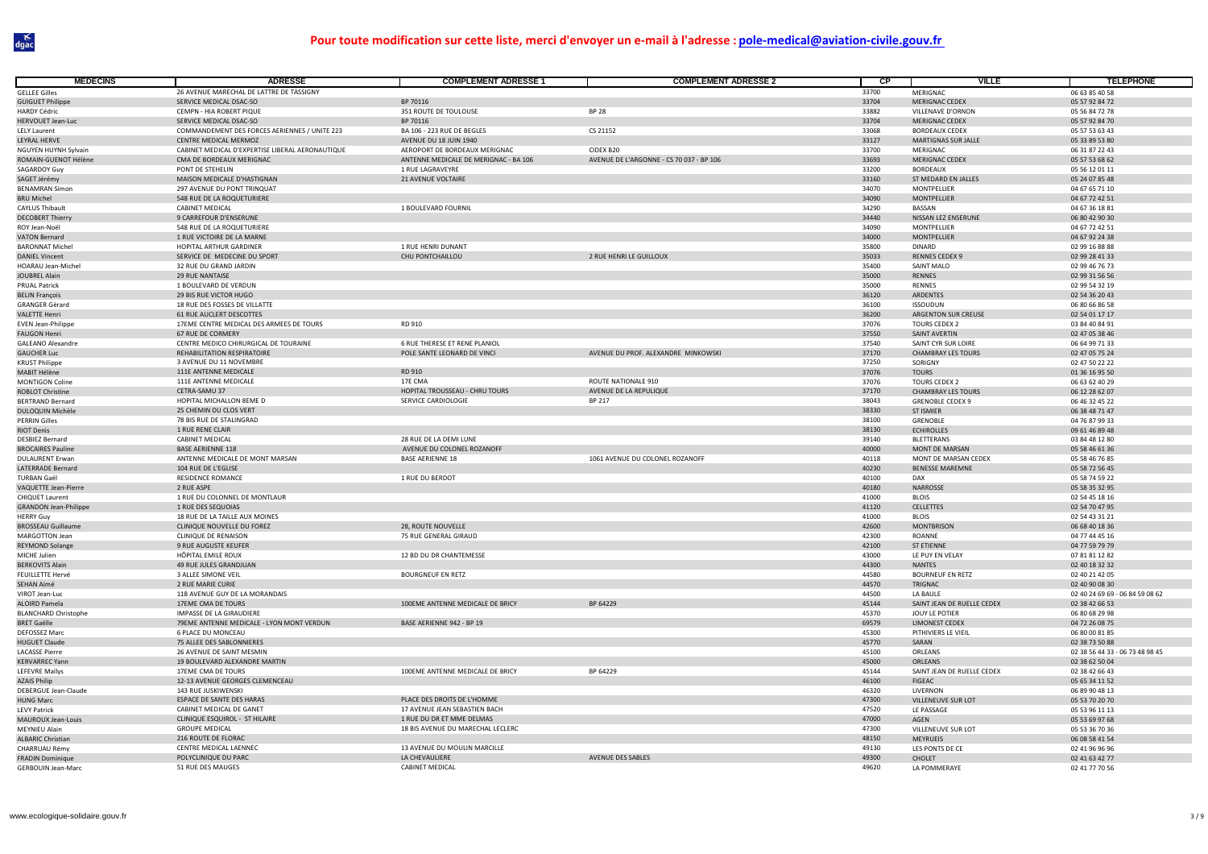| <b>MÉDECINS</b>                                   | <b>ADRESSE</b>                                       | <b>COMPLEMENT ADRESSE 1</b>           | <b>COMPLEMENT ADRESSE 2</b>              | <b>CP</b>      | <b>VILLE</b>                              | <b>TELEPHONE</b>                 |
|---------------------------------------------------|------------------------------------------------------|---------------------------------------|------------------------------------------|----------------|-------------------------------------------|----------------------------------|
| <b>GELLEE Gilles</b>                              | 26 AVENUE MARECHAL DE LATTRE DE TASSIGNY             |                                       |                                          | 33700          | MERIGNAC                                  | 06 63 85 40 58                   |
| <b>GUIGUET Philippe</b>                           | SERVICE MEDICAL DSAC-SO                              | BP 70116                              |                                          | 33704          | <b>MERIGNAC CEDEX</b>                     | 05 57 92 84 72                   |
| <b>HARDY Cédric</b>                               | CEMPN - HIA ROBERT PIQUE                             | 351 ROUTE DE TOULOUSE                 | <b>BP 28</b>                             | 33882          | VILLENAVE D'ORNON                         | 05 56 84 72 78                   |
| <b>HERVOUET Jean-Luc</b>                          | SERVICE MEDICAL DSAC-SO                              | BP 70116                              |                                          | 33704          | <b>MERIGNAC CEDEX</b>                     | 05 57 92 84 70                   |
| <b>LELY Laurent</b>                               | COMMANDEMENT DES FORCES AERIENNES / UNITE 223        | BA 106 - 223 RUE DE BEGLES            | CS 21152                                 | 33068          | <b>BORDEAUX CEDEX</b>                     | 05 57 53 63 43                   |
| LEYRAL HERVE                                      | CENTRE MEDICAL MERMOZ                                | AVENUE DU 18 JUIN 1940                |                                          | 33127          | MARTIGNAS SUR JALLE                       | 05 33 89 53 80                   |
| NGUYEN HUYNH Sylvain                              | CABINET MEDICAL D'EXPERTISE LIBERAL AERONAUTIQUE     | AEROPORT DE BORDEAUX MERIGNAC         | CIDEX B20                                | 33700          | MERIGNAC                                  | 06 31 87 22 43                   |
| ROMAIN-GUENOT Hélène                              | CMA DE BORDEAUX MERIGNAC                             | ANTENNE MEDICALE DE MERIGNAC - BA 106 | AVENUE DE L'ARGONNE - CS 70 037 - BP 106 | 33693          | <b>MERIGNAC CEDEX</b>                     | 05 57 53 68 62                   |
| SAGARDOY Guy                                      | PONT DE STEHELIN                                     | 1 RUE LAGRAVEYRE                      |                                          | 33200          | <b>BORDEAUX</b>                           | 05 56 12 01 11                   |
| SAGET Jérémy                                      | MAISON MEDICALE D'HASTIGNAN                          | 21 AVENUE VOLTAIRE                    |                                          | 33160          | ST MEDARD EN JALLES                       | 05 24 07 85 48                   |
| <b>BENAMRAN Simon</b>                             | 297 AVENUE DU PONT TRINQUAT                          |                                       |                                          | 34070          | MONTPELLIER                               | 04 67 65 71 10                   |
| <b>BRU Michel</b>                                 | 548 RUE DE LA ROQUETURIERE                           |                                       |                                          | 34090          | MONTPELLIER                               | 04 67 72 42 51                   |
| <b>CAYLUS Thibault</b>                            | <b>CABINET MEDICAL</b>                               | 1 BOULEVARD FOURNIL                   |                                          | 34290          | BASSAN                                    | 04 67 36 18 81                   |
| <b>DECOBERT Thierry</b>                           | 9 CARREFOUR D'ENSERUNE<br>548 RUE DE LA ROQUETURIERE |                                       |                                          | 34440<br>34090 | NISSAN LEZ ENSERUNE<br><b>MONTPELLIFF</b> | 06 80 42 90 30<br>04 67 72 42 51 |
| ROY Jean-Noë<br><b>VATON Bernard</b>              | 1 RUE VICTOIRE DE LA MARNE                           |                                       |                                          | 34000          | MONTPELLIER                               | 04 67 92 24 38                   |
| <b>BARONNAT Michel</b>                            | <b>HOPITAL ARTHUR GARDINER</b>                       | 1 RUE HENRI DUNANT                    |                                          | 35800          | <b>DINARD</b>                             | 02 99 16 88 88                   |
| <b>DANIEL Vincent</b>                             | SERVICE DE MEDECINE DU SPORT                         | CHU PONTCHAILLOU                      | 2 RUE HENRI LE GUILLOUX                  | 35033          | <b>RENNES CEDEX 9</b>                     | 02 99 28 41 33                   |
| <b>HOARAU Jean-Michel</b>                         | 32 RUE DU GRAND JARDIN                               |                                       |                                          | 35400          | <b>SAINT MALO</b>                         | 02 99 46 76 73                   |
| JOUBREL Alain                                     | 29 RUE NANTAISE                                      |                                       |                                          | 35000          | RENNES                                    | 02 99 31 56 56                   |
| <b>PRUAL Patrick</b>                              | 1 BOULEVARD DE VERDUN                                |                                       |                                          | 35000          | RENNES                                    | 02 99 54 32 19                   |
| <b>BELIN François</b>                             | 29 BIS RUE VICTOR HUGO                               |                                       |                                          | 36120          | <b>ARDENTES</b>                           | 02 54 36 20 43                   |
| <b>GRANGER Gérard</b>                             | 18 RUE DES FOSSES DE VILLATTE                        |                                       |                                          | 36100          | <b>ISSOUDUN</b>                           | 06 80 66 86 58                   |
| <b>VALETTE Henri</b>                              | 61 RUE AUCLERT DESCOTTES                             |                                       |                                          | 36200          | ARGENTON SUR CREUSE                       | 02 54 01 17 17                   |
| <b>EVEN Jean-Philippe</b>                         | 17EME CENTRE MEDICAL DES ARMEES DE TOURS             | RD 910                                |                                          | 37076          | TOURS CEDEX 2                             | 03 84 40 84 91                   |
| <b>FAUGON Henri</b>                               | 67 RUE DE CORMERY                                    |                                       |                                          | 37550          | SAINT AVERTIN                             | 02 47 05 38 46                   |
| <b>GALEANO Alexandre</b>                          | CENTRE MEDICO CHIRURGICAL DE TOURAINE                | 6 RUE THERESE ET RENE PLANIOL         |                                          | 37540          | SAINT CYR SUR LOIRE                       | 06 64 99 71 33                   |
| <b>GAUCHER Luc</b>                                | REHABILITATION RESPIRATOIRE                          | POLE SANTE LEONARD DE VINCI           | AVENUE DU PROF. ALEXANDRE MINKOWSKI      | 37170          | <b>CHAMBRAY LES TOURS</b>                 | 02 47 05 75 24                   |
| <b>KRUST Philippe</b>                             | 3 AVENUE DU 11 NOVEMBRE                              |                                       |                                          | 37250          | SORIGNY                                   | 02 47 50 22 22                   |
| MABIT Hélène                                      | 111E ANTENNE MEDICALE                                | RD 910                                |                                          | 37076          | <b>TOURS</b>                              | 01 36 16 95 50                   |
| <b>MONTIGON Coline</b>                            | 111E ANTENNE MEDICALE                                | 17F CMA                               | <b>ROUTE NATIONALE 910</b>               | 37076          | TOURS CEDEX 2                             | 06 63 62 40 29                   |
| <b>ROBLOT Christine</b>                           | CETRA-SAMU 37                                        | HOPITAL TROUSSEAU - CHRU TOURS        | AVENUE DE LA REPULIQUE                   | 37170          | <b>CHAMBRAY LES TOURS</b>                 | 06 12 28 62 07                   |
| <b>BERTRAND Bernard</b>                           | HOPITAL MICHALLON 8EME D                             | SERVICE CARDIOLOGIE                   | <b>BP 217</b>                            | 38043          | <b>GRENOBLE CEDEX 9</b>                   | 06 46 32 45 22                   |
| DULOQUIN Michèle                                  | 25 CHEMIN DU CLOS VERT                               |                                       |                                          | 38330          | <b>ST ISMIER</b>                          | 06 38 48 71 47                   |
| <b>PERRIN Gilles</b>                              | 78 BIS RUE DE STALINGRAD                             |                                       |                                          | 38100          | GRENOBLE                                  | 04 76 87 99 33                   |
| <b>RIOT Denis</b>                                 | 1 RUE RENE CLAIR                                     |                                       |                                          | 38130          | <b>ECHIROLLES</b>                         | 09 61 46 89 48                   |
| <b>DESBIEZ Bernard</b>                            | CABINET MEDICAL                                      | 28 RUE DE LA DEMI LUNE                |                                          | 39140          | <b>BLETTERANS</b>                         | 03 84 48 12 80                   |
| <b>BROCAIRES Pauline</b>                          | <b>BASE AERIENNE 118</b>                             | AVENUE DU COLONEL ROZANOFF            |                                          | 40000          | <b>MONT DE MARSAN</b>                     | 05 58 46 61 36                   |
| <b>DULAURENT Erwar</b>                            | ANTENNE MEDICALE DE MONT MARSAN                      | <b>BASE AERIENNE 18</b>               | 1061 AVENUE DU COLONEL ROZANOFF          | 40118          | MONT DE MARSAN CEDEX                      | 05 58 46 76 85                   |
| LATERRADE Bernard                                 | 104 RUE DE L'EGLISE<br>RESIDENCE ROMANCE             |                                       |                                          | 40230          | <b>BENESSE MAREMNE</b>                    | 05 58 72 56 45                   |
| <b>TURBAN Gaël</b><br><b>VAQUETTE Jean-Pierre</b> | 2 RUE ASPE                                           | 1 RUE DU BERDOT                       |                                          | 40100<br>40180 | <b>DAX</b><br><b>NARROSSE</b>             | 05 58 74 59 22<br>05 58 35 32 95 |
| CHIQUET Laurent                                   | 1 RUE DU COLONNEL DE MONTLAUR                        |                                       |                                          | 41000          | <b>BLOIS</b>                              | 02 54 45 18 16                   |
| <b>GRANDON Jean-Philippe</b>                      | 1 RUE DES SEQUOIAS                                   |                                       |                                          | 41120          | CELLETTES                                 | 02 54 70 47 95                   |
| <b>HERRY Guy</b>                                  | 18 RUE DE LA TAILLE AUX MOINES                       |                                       |                                          | 41000          | <b>BLOIS</b>                              | 02 54 43 31 21                   |
| <b>BROSSEAU Guillaume</b>                         | CLINIQUE NOUVELLE DU FOREZ                           | 28, ROUTE NOUVELLE                    |                                          | 42600          | <b>MONTBRISON</b>                         | 06 68 40 18 36                   |
| MARGOTTON Jean                                    | <b>CLINIQUE DE RENAISON</b>                          | 75 RUE GENERAL GIRAUD                 |                                          | 42300          | ROANNE                                    | 04 77 44 45 16                   |
| <b>REYMOND Solange</b>                            | 9 RUE AUGUSTE KEUFER                                 |                                       |                                          | 42100          | <b>ST ETIENNE</b>                         | 04 77 59 79 79                   |
| MICHE Julien                                      | HÔPITAL EMILE ROUX                                   | 12 BD DU DR CHANTEMESSE               |                                          | 43000          | LE PUY EN VELAY                           | 07 81 81 12 82                   |
| <b>BERKOVITS Alain</b>                            | 49 RUE JULES GRANDJUAN                               |                                       |                                          | 44300          | <b>NANTES</b>                             | 02 40 18 32 32                   |
| <b>FEUILLETTE Hervé</b>                           | 3 ALLEE SIMONE VEIL                                  | <b>BOURGNEUF EN RETZ</b>              |                                          | 44580          | <b>BOURNEUF EN RETZ</b>                   | 02 40 21 42 05                   |
| SEHAN Aimé                                        | 2 RUE MARIE CURIE                                    |                                       |                                          | 44570          | TRIGNAC                                   | 02 40 90 08 30                   |
| VIROT Jean-Luc                                    | 118 AVENUE GUY DE LA MORANDAIS                       |                                       |                                          | 44500          | LA BAULE                                  | 02 40 24 69 69 - 06 84 59 08 62  |
| <b>ALOIRD Pamela</b>                              | 17EME CMA DE TOURS                                   | 100EME ANTENNE MEDICALE DE BRICY      | BP 64229                                 | 45144          | SAINT JEAN DE RUELLE CEDEX                | 02 38 42 66 53                   |
| <b>BLANCHARD Christophe</b>                       | IMPASSE DE LA GIRAUDIERE                             |                                       |                                          | 45370          | JOUY LE POTIER                            | 06 80 68 29 98                   |
| <b>BRET Gaëlle</b>                                | 79EME ANTENNE MEDICALE - LYON MONT VERDUN            | BASE AERIENNE 942 - BP 19             |                                          | 69579          | <b>LIMONEST CEDEX</b>                     | 04 72 26 08 75                   |
| <b>DEFOSSEZ Marc</b>                              | 6 PLACE DU MONCEAU                                   |                                       |                                          | 45300          | PITHIVIERS LE VIEIL                       | 06 80 00 81 85                   |
| <b>HUGUET Claude</b>                              | 75 ALLEE DES SABLONNIERES                            |                                       |                                          | 45770          | SARAN                                     | 02 38 73 50 88                   |
| <b>LACASSE Pierre</b>                             | 26 AVENUE DE SAINT MESMIN                            |                                       |                                          | 45100          | ORLEANS                                   | 02 38 56 44 33 - 06 73 48 98 45  |
| <b>KERVARREC Yann</b>                             | 19 BOULEVARD ALEXANDRE MARTIN                        |                                       |                                          | 45000          | ORLEANS                                   | 02 38 62 50 04                   |
| LEFEVRE Maïlys                                    | 17EME CMA DE TOURS                                   | 100EME ANTENNE MEDICALE DE BRICY      | BP 64229                                 | 45144          | SAINT JEAN DE RUELLE CEDEX                | 02 38 42 66 43                   |
| <b>AZAIS Philip</b>                               | 12-13 AVENUE GEORGES CLEMENCEAU                      |                                       |                                          | 46100          | FIGEAC                                    | 05 65 34 11 52                   |
| DEBERGUE Jean-Claude                              | 143 RUF JUSKIWENSKI                                  |                                       |                                          | 46320          | LIVERNON                                  | 06 89 90 48 13                   |
| <b>HUNG Marc</b>                                  | ESPACE DE SANTE DES HARAS                            | PLACE DES DROITS DE L'HOMME           |                                          | 47300          | VILLENEUVE SUR LOT                        | 05 53 70 20 70                   |
| <b>LEVY Patrick</b>                               | CABINET MEDICAL DE GANET                             | 17 AVENUE JEAN SEBASTIEN BACH         |                                          | 47520<br>47000 | LE PASSAGE                                | 05 53 96 11 13                   |
| MAUROUX Jean-Louis                                | CLINIQUE ESQUIROL - ST HILAIRE                       | 1 RUE DU DR ET MME DELMAS             |                                          |                | AGEN                                      | 05 53 69 97 68                   |
| MEYNIEU Alain<br><b>ALBARIC Christian</b>         | <b>GROUPE MEDICAL</b><br>216 ROUTE DE FLORAC         | 18 BIS AVENUE DU MARECHAL LECLERC     |                                          | 47300<br>48150 | VILLENEUVE SUR LOT<br><b>MEYRUEIS</b>     | 05 53 36 70 36<br>06 08 58 41 54 |
| CHARRUAU Rémy                                     | CENTRE MEDICAL LAENNEC                               | 13 AVENUE DU MOULIN MARCILLE          |                                          | 49130          | LES PONTS DE CE                           | 02 41 96 96 96                   |
| <b>FRADIN Dominique</b>                           | POLYCLINIQUE DU PARC                                 | LA CHEVAULIERE                        | AVENUE DES SABLES                        | 49300          | CHOLET                                    | 02 41 63 42 77                   |
| GERBOUIN Jean-Marc                                | 51 RUE DES MAUGES                                    | <b>CABINET MEDICAL</b>                |                                          | 49620          | LA POMMERAYE                              | 02 41 77 70 56                   |
|                                                   |                                                      |                                       |                                          |                |                                           |                                  |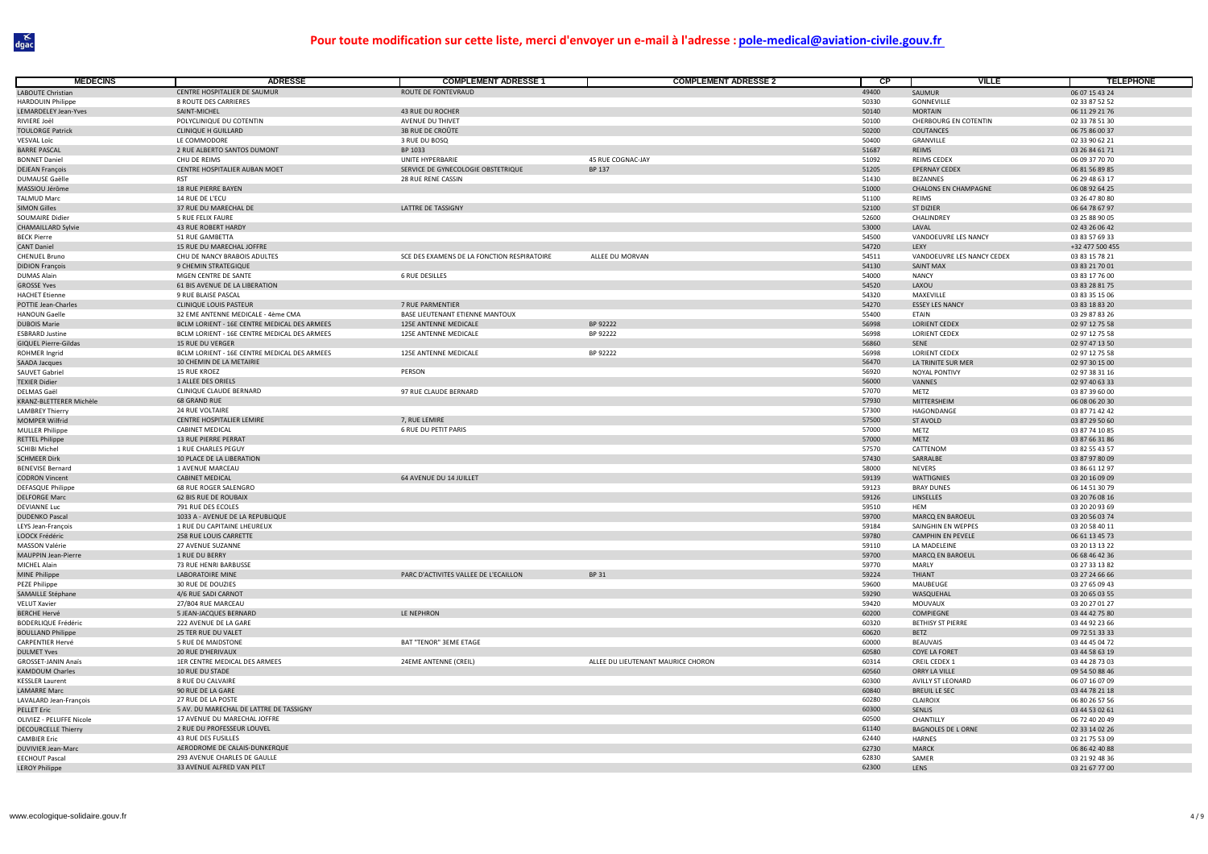| <b>MEDECINS</b>                                  | <b>ADRESSE</b>                                               | <b>COMPLEMENT ADRESSE 1</b>                         | <b>COMPLEMENT ADRESSE 2</b>        | $\overline{CP}$ | <b>VILLE</b>                                   | <b>TELEPHONE</b>                 |
|--------------------------------------------------|--------------------------------------------------------------|-----------------------------------------------------|------------------------------------|-----------------|------------------------------------------------|----------------------------------|
| LABOUTE Christian                                | CENTRE HOSPITALIER DE SAUMUR                                 | ROUTE DE FONTEVRAUD                                 |                                    | 49400           | SAUMUR                                         | 06 07 15 43 24                   |
| <b>HARDOUIN Philippe</b>                         | <b>8 ROUTE DES CARRIERES</b>                                 |                                                     |                                    | 50330           | GONNEVILLE                                     | 02 33 87 52 52                   |
| LEMARDELEY Jean-Yves                             | SAINT-MICHEL                                                 | 43 RUE DU ROCHER                                    |                                    | 50140           | <b>MORTAIN</b>                                 | 06 11 29 21 76                   |
| RIVIERE Joël                                     | POLYCLINIQUE DU COTENTIN                                     | AVENUE DU THIVET                                    |                                    | 50100           | CHERBOURG EN COTENTIN                          | 02 33 78 51 30                   |
| <b>TOULORGE Patrick</b>                          | <b>CLINIQUE H GUILLARD</b>                                   | 3B RUE DE CROÛTE                                    |                                    | 50200           | COUTANCES                                      | 06 75 86 00 37                   |
| <b>VESVAL Loïc</b>                               | LE COMMODORE                                                 | 3 RUE DU BOSQ                                       |                                    | 50400           | GRANVILLE                                      | 02 33 90 62 21                   |
| <b>BARRE PASCAL</b>                              | 2 RUE ALBERTO SANTOS DUMONT                                  | BP 1033                                             |                                    | 51687           | REIMS                                          | 03 26 84 61 71                   |
| <b>BONNET Daniel</b>                             | CHU DE REIMS                                                 | UNITE HYPERBARIE                                    | 45 RUE COGNAC-JAY                  | 51092           | <b>REIMS CEDEX</b>                             | 06 09 37 70 70                   |
| <b>DEJEAN François</b>                           | CENTRE HOSPITALIER AUBAN MOET<br><b>RST</b>                  | SERVICE DE GYNECOLOGIE OBSTETRIQUE                  | BP 137                             | 51205           | EPERNAY CEDEX                                  | 06 81 56 89 85                   |
| DUMAUSE Gaëlle<br>MASSIOU Jérôme                 | <b>18 RUE PIERRE BAYEN</b>                                   | 28 RUE RENE CASSIN                                  |                                    | 51430<br>51000  | <b>BEZANNES</b><br><b>CHALONS EN CHAMPAGNE</b> | 06 29 48 63 17<br>06 08 92 64 25 |
| <b>TALMUD Marc</b>                               | 14 RUE DE L'ECU                                              |                                                     |                                    | 51100           | <b>REIMS</b>                                   | 03 26 47 80 80                   |
| <b>SIMON Gilles</b>                              | 37 RUE DU MARECHAL DE                                        | LATTRE DE TASSIGNY                                  |                                    | 52100           | <b>ST DIZIER</b>                               | 06 64 78 67 97                   |
| SOUMAIRE Didier                                  | 5 RUE FELIX FAURE                                            |                                                     |                                    | 52600           | CHALINDREY                                     | 03 25 88 90 05                   |
| <b>CHAMAILLARD Sylvie</b>                        | 43 RUE ROBERT HARDY                                          |                                                     |                                    | 53000           | LAVAL                                          | 02 43 26 06 42                   |
| <b>BECK Pierre</b>                               | 51 RUE GAMBETTA                                              |                                                     |                                    | 54500           | VANDOEUVRE LES NANCY                           | 03 83 57 69 33                   |
| <b>CANT Daniel</b>                               | 15 RUE DU MARECHAL JOFFRE                                    |                                                     |                                    | 54720           | LEXY                                           | +32 477 500 455                  |
| <b>CHENUEL Bruno</b>                             | CHU DE NANCY BRABOIS ADULTES                                 | SCE DES EXAMENS DE LA FONCTION RESPIRATOIRE         | ALLEE DU MORVAN                    | 54511           | VANDOEUVRE LES NANCY CEDEX                     | 03 83 15 78 21                   |
| <b>DIDION François</b>                           | 9 CHEMIN STRATEGIQUE                                         |                                                     |                                    | 54130           | <b>SAINT MAX</b>                               | 03 83 21 70 01                   |
| <b>DUMAS Alain</b>                               | MGEN CENTRE DE SANTE                                         | <b>6 RUE DESILLES</b>                               |                                    | 54000           | <b>NANCY</b>                                   | 03 83 17 76 00                   |
| <b>GROSSE Yves</b>                               | 61 BIS AVENUE DE LA LIBERATION                               |                                                     |                                    | 54520           | LAXOU                                          | 03 83 28 81 75                   |
| <b>HACHET Etienne</b>                            | 9 RUE BLAISE PASCAL                                          |                                                     |                                    | 54320           | MAXEVILLE                                      | 03 83 35 15 06                   |
| POTTIE Jean-Charles<br><b>HANOUN Gaelle</b>      | CLINIQUE LOUIS PASTEUR<br>32 EME ANTENNE MEDICALE - 4ème CMA | 7 RUE PARMENTIER<br>BASE LIEUTENANT ETIENNE MANTOUX |                                    | 54270<br>55400  | <b>ESSEY LES NANCY</b><br>ETAIN                | 03 83 18 83 20<br>03 29 87 83 26 |
|                                                  | BCLM LORIENT - 16E CENTRE MEDICAL DES ARMEES                 | 125E ANTENNE MEDICALE                               | BP 92222                           | 56998           | <b>LORIENT CEDEX</b>                           | 02 97 12 75 58                   |
| <b>DUBOIS Marie</b><br><b>ESBRARD Justine</b>    | BCLM LORIENT - 16E CENTRE MEDICAL DES ARMEES                 | 125E ANTENNE MEDICALE                               | BP 92222                           | 56998           | <b>LORIENT CEDEX</b>                           | 02 97 12 75 58                   |
| <b>GIQUEL Pierre-Gildas</b>                      | <b>15 RUE DU VERGER</b>                                      |                                                     |                                    | 56860           | SENE                                           | 02 97 47 13 50                   |
| ROHMER Ingrid                                    | BCLM LORIENT - 16E CENTRE MEDICAL DES ARMEES                 | 125E ANTENNE MEDICALE                               | BP 92222                           | 56998           | <b>LORIENT CEDEX</b>                           | 02 97 12 75 58                   |
| SAADA Jacques                                    | 10 CHEMIN DE LA METAIRIE                                     |                                                     |                                    | 56470           | LA TRINITE SUR MEF                             | 02 97 30 15 00                   |
| SAUVET Gabriel                                   | <b>15 RUE KROEZ</b>                                          | PERSON                                              |                                    | 56920           | NOYAL PONTIVY                                  | 02 97 38 31 16                   |
| <b>TEXIER Didier</b>                             | 1 ALLEE DES ORIELS                                           |                                                     |                                    | 56000           | VANNES                                         | 02 97 40 63 33                   |
| DELMAS Gaël                                      | CLINIQUE CLAUDE BERNARD                                      | 97 RUE CLAUDE BERNARD                               |                                    | 57070           | METZ                                           | 03 87 39 60 00                   |
| KRANZ-BLETTERER Michèle                          | <b>68 GRAND RUE</b>                                          |                                                     |                                    | 57930           | MITTERSHEIM                                    | 06 08 06 20 30                   |
| <b>LAMBREY Thierry</b>                           | 24 RUF VOLTAIRE                                              |                                                     |                                    | 57300           | HAGONDANGE                                     | 03 87 71 42 42                   |
| <b>MOMPER Wilfrid</b>                            | CENTRE HOSPITALIER LEMIRE                                    | 7, RUE LEMIRE                                       |                                    | 57500           | ST AVOLD                                       | 03 87 29 50 60                   |
| <b>MULLER Philippe</b>                           | CABINET MEDICAL                                              | <b>6 RUE DU PETIT PARIS</b>                         |                                    | 57000           | METZ                                           | 03 87 74 10 85                   |
| <b>RETTEL Philippe</b>                           | 13 RUE PIERRE PERRAT                                         |                                                     |                                    | 57000           | METZ                                           | 03 87 66 31 86                   |
| SCHIBI Michel                                    | 1 RUE CHARLES PEGUY                                          |                                                     |                                    | 57570           | CATTENOM                                       | 03 82 55 43 57                   |
| <b>SCHMEER Dirk</b>                              | 10 PLACE DE LA LIBERATION<br>1 AVENUE MARCEAU                |                                                     |                                    | 57430<br>58000  | SARRALBE<br><b>NEVERS</b>                      | 03 87 97 80 09<br>03 86 61 12 97 |
| <b>BENEVISE Bernard</b><br><b>CODRON Vincent</b> | CABINET MEDICAL                                              | 64 AVENUE DU 14 JUILLET                             |                                    | 59139           | WATTIGNIES                                     | 03 20 16 09 09                   |
| DEFASQUE Philippe                                | 68 RUE ROGER SALENGRO                                        |                                                     |                                    | 59123           | <b>BRAY DUNES</b>                              | 06 14 51 30 79                   |
| <b>DELFORGE Marc</b>                             | 62 BIS RUE DE ROUBAIX                                        |                                                     |                                    | 59126           | LINSELLES                                      | 03 20 76 08 16                   |
| DEVIANNE Luc                                     | 791 RUE DES ECOLES                                           |                                                     |                                    | 59510           | <b>HEM</b>                                     | 03 20 20 93 69                   |
| <b>DUDENKO Pascal</b>                            | 1033 A - AVENUE DE LA REPUBLIQUE                             |                                                     |                                    | 59700           | MARCQ EN BAROEUL                               | 03 20 56 03 74                   |
| LEYS Jean-François                               | 1 RUE DU CAPITAINE LHEUREUX                                  |                                                     |                                    | 59184           | SAINGHIN EN WEPPES                             | 03 20 58 40 11                   |
| LOOCK Frédéric                                   | 258 RUE LOUIS CARRETTE                                       |                                                     |                                    | 59780           | CAMPHIN EN PEVELE                              | 06 61 13 45 73                   |
| MASSON Valérie                                   | 27 AVENUE SUZANNE                                            |                                                     |                                    | 59110           | LA MADELEINE                                   | 03 20 13 13 22                   |
| MAUPPIN Jean-Pierre                              | 1 RUE DU BERRY                                               |                                                     |                                    | 59700           | MARCQ EN BAROEUL                               | 06 68 46 42 36                   |
| MICHEL Alain                                     | 73 RUE HENRI BARBUSSE                                        |                                                     |                                    | 59770           | MARLY                                          | 03 27 33 13 82                   |
| MINE Philippe                                    | <b>LABORATOIRE MINE</b>                                      | PARC D'ACTIVITES VALLEE DE L'ECAILLON               | BP 31                              | 59224           | THIANT                                         | 03 27 24 66 66                   |
| PEZE Philippe                                    | 30 RUE DE DOUZIES<br>4/6 RUE SADI CARNOT                     |                                                     |                                    | 59600<br>59290  | MAUBEUGE                                       | 03 27 65 09 43                   |
| SAMAILLE Stéphane<br><b>VELUT Xavier</b>         | 27/B04 RUE MARCEAU                                           |                                                     |                                    | 59420           | WASQUEHAL<br>MOUVAUX                           | 03 20 65 03 55<br>03 20 27 01 27 |
| <b>BERCHE Hervé</b>                              | 5 JEAN-JACQUES BERNARD                                       | LE NEPHRON                                          |                                    | 60200           | COMPIEGNE                                      | 03 44 42 75 80                   |
| BODERLIQUE Frédéric                              | 222 AVENUE DE LA GARE                                        |                                                     |                                    | 60320           | <b>BETHISY ST PIERRE</b>                       | 03 44 92 23 66                   |
| <b>BOULLAND Philippe</b>                         | 25 TER RUE DU VALET                                          |                                                     |                                    | 60620           | BETZ                                           | 09 72 51 33 33                   |
| CARPENTIER Hervé                                 | 5 RUE DE MAIDSTONE                                           | BAT "TENOR" 3EME ETAGE                              |                                    | 60000           | <b>BEAUVAIS</b>                                | 03 44 45 04 72                   |
| <b>DULMET Yves</b>                               | 20 RUE D'HERIVAUX                                            |                                                     |                                    | 60580           | COYE LA FORET                                  | 03 44 58 63 19                   |
| <b>GROSSET-JANIN Anaïs</b>                       | 1ER CENTRE MEDICAL DES ARMEES                                | 24EME ANTENNE (CREIL)                               | ALLEE DU LIEUTENANT MAURICE CHORON | 60314           | <b>CREIL CEDEX 1</b>                           | 03 44 28 73 03                   |
| <b>KAMDOUM Charles</b>                           | 10 RUE DU STADE                                              |                                                     |                                    | 60560           | ORRY LA VILLE                                  | 09 54 50 88 46                   |
| <b>KESSLER Laurent</b>                           | 8 RUE DU CALVAIRE                                            |                                                     |                                    | 60300           | AVILLY ST LEONARD                              | 06 07 16 07 09                   |
| <b>LAMARRE Marc</b>                              | 90 RUE DE LA GARE                                            |                                                     |                                    | 60840           | <b>BREUIL LE SEC</b>                           | 03 44 78 21 18                   |
| LAVALARD Jean-François                           | 27 RUE DE LA POSTE                                           |                                                     |                                    | 60280           | CLAIROIX                                       | 06 80 26 57 56                   |
| PELLET Eric                                      | 5 AV. DU MARECHAL DE LATTRE DE TASSIGNY                      |                                                     |                                    | 60300           | SENLIS                                         | 03 44 53 02 61                   |
| OLIVIEZ - PELUFFE Nicole                         | 17 AVENUE DU MARECHAL JOFFRE                                 |                                                     |                                    | 60500           | CHANTILLY                                      | 06 72 40 20 49                   |
| <b>DECOURCELLE Thierry</b>                       | 2 RUE DU PROFESSEUR LOUVEL                                   |                                                     |                                    | 61140           | <b>BAGNOLES DE L ORNE</b>                      | 02 33 14 02 26                   |
| <b>CAMBIER Eric</b><br>DUVIVIER Jean-Marc        | 43 RUE DES FUSILLES<br>AERODROME DE CALAIS-DUNKERQUE         |                                                     |                                    | 62440<br>62730  | <b>HARNES</b><br><b>MARCK</b>                  | 03 21 75 53 09<br>06 86 42 40 88 |
| <b>EECHOUT Pascal</b>                            | 293 AVENUE CHARLES DE GAULLE                                 |                                                     |                                    | 62830           | SAMER                                          | 03 21 92 48 36                   |
| <b>LEROY Philippe</b>                            | 33 AVENUE ALFRED VAN PELT                                    |                                                     |                                    | 62300           | <b>LENS</b>                                    | 03 21 67 77 00                   |
|                                                  |                                                              |                                                     |                                    |                 |                                                |                                  |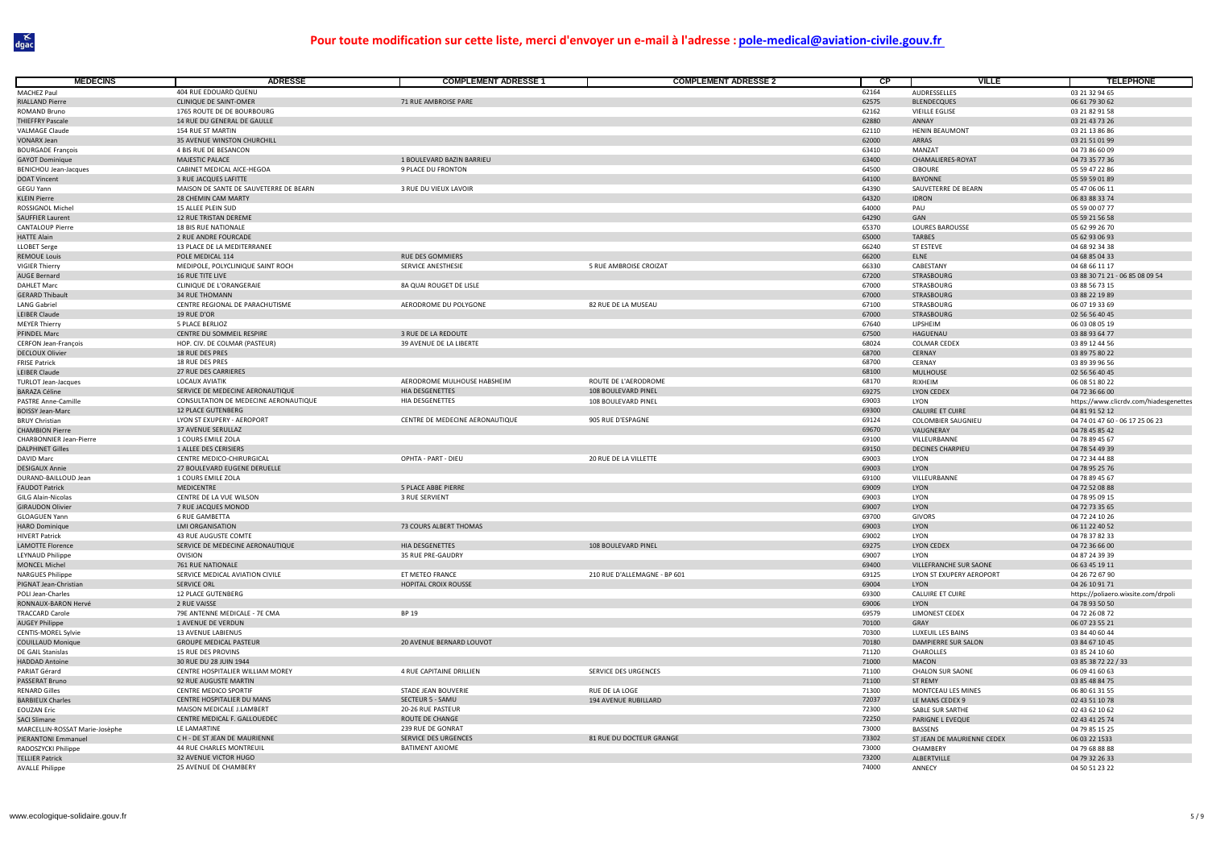| <b>MÉDECINS</b>                                    | <b>ADRESSE</b>                                            | <b>COMPLEMENT ADRESSE 1</b>                  | <b>COMPLEMENT ADRESSE 2</b>  | <b>CP</b>      | <b>VILLE</b>                          | <b>TELEPHONE</b>                       |
|----------------------------------------------------|-----------------------------------------------------------|----------------------------------------------|------------------------------|----------------|---------------------------------------|----------------------------------------|
| MACHEZ Paul                                        | 404 RUE EDOUARD QUENU                                     |                                              |                              | 62164          | AUDRESSELLES                          | 03 21 32 94 65                         |
| <b>RIALLAND Pierre</b>                             | CLINIQUE DE SAINT-OMER                                    | 71 RUE AMBROISE PARE                         |                              | 62575          | <b>BLENDECQUES</b>                    | 06 61 79 30 62                         |
| ROMAND Bruno                                       | 1765 ROUTE DE DE BOURBOURG                                |                                              |                              | 62162          | <b>VIEILLE EGLISE</b>                 | 03 21 82 91 58                         |
| <b>THIEFFRY Pascale</b>                            | 14 RUE DU GENERAL DE GAULLE                               |                                              |                              | 62880          | ANNAY                                 | 03 21 43 73 26                         |
| <b>VALMAGE Claude</b><br><b>VONARX Jean</b>        | <b>154 RUE ST MARTIN</b><br>35 AVENUE WINSTON CHURCHILL   |                                              |                              | 62110<br>62000 | <b>HENIN BEAUMONT</b><br><b>ARRAS</b> | 03 21 13 86 86<br>03 21 51 01 99       |
| <b>BOURGADE François</b>                           | 4 BIS RUE DE BESANCON                                     |                                              |                              | 63410          | MANZAT                                | 04 73 86 60 09                         |
| <b>GAYOT Dominique</b>                             | MAJESTIC PALACE                                           | 1 BOULEVARD BAZIN BARRIEU                    |                              | 63400          | CHAMALIERES-ROYAT                     | 04 73 35 77 36                         |
| <b>BENICHOU Jean-Jacques</b>                       | CABINET MEDICAL AICE-HEGOA                                | 9 PLACE DU FRONTON                           |                              | 64500          | <b>CIBOURE</b>                        | 05 59 47 22 86                         |
| <b>DOAT Vincent</b>                                | 3 RUE JACQUES LAFITTE                                     |                                              |                              | 64100          | <b>BAYONNE</b>                        | 05 59 59 01 89                         |
| GEGU Yann                                          | MAISON DE SANTE DE SAUVETERRE DE BEARN                    | 3 RUE DU VIEUX LAVOIR                        |                              | 64390          | SAUVETERRE DE BEARN                   | 05 47 06 06 11                         |
| <b>KLEIN Pierre</b>                                | 28 CHEMIN CAM MARTY                                       |                                              |                              | 64320          | <b>IDRON</b>                          | 06 83 88 33 74                         |
| ROSSIGNOL Michel                                   | 15 ALLEE PLEIN SUD                                        |                                              |                              | 64000          | PAU                                   | 05 59 00 07 77                         |
| <b>SAUFFIER Laurent</b>                            | 12 RUE TRISTAN DEREME                                     |                                              |                              | 64290          | GAN                                   | 05 59 21 56 58                         |
| <b>CANTALOUP Pierre</b>                            | 18 BIS RUE NATIONALE                                      |                                              |                              | 65370          | <b>LOURES BAROUSSE</b>                | 05 62 99 26 70                         |
| <b>HATTF Alain</b>                                 | 2 RUE ANDRE FOURCADE<br>13 PLACE DE LA MEDITERRANEE       |                                              |                              | 65000<br>66240 | <b>TARBES</b><br>ST ESTEVE            | 05 62 93 06 93<br>04 68 92 34 38       |
| <b>LLOBET Serge</b><br><b>REMOUE Louis</b>         | POLE MEDICAL 114                                          | RUE DES GOMMIERS                             |                              | 66200          | ELNE                                  | 04 68 85 04 33                         |
| <b>VIGIER Thierry</b>                              | MEDIPOLE, POLYCLINIQUE SAINT ROCH                         | SERVICE ANESTHESIE                           | 5 RUE AMBROISE CROIZAT       | 66330          | CABESTANY                             | 04 68 66 11 17                         |
| <b>AUGE Bernard</b>                                | 16 RUE TITE LIVE                                          |                                              |                              | 67200          | <b>STRASBOURG</b>                     | 03 88 30 71 21 - 06 85 08 09 54        |
| <b>DAHLET Marc</b>                                 | CLINIQUE DE L'ORANGERAIE                                  | 8A QUAI ROUGET DE LISLE                      |                              | 67000          | STRASBOURG                            | 03 88 56 73 15                         |
| <b>GERARD Thibault</b>                             | <b>34 RUE THOMANN</b>                                     |                                              |                              | 67000          | STRASBOURG                            | 03 88 22 19 89                         |
| <b>LANG Gabriel</b>                                | CENTRE REGIONAL DE PARACHUTISME                           | AERODROME DU POLYGONE                        | 82 RUE DE LA MUSEAU          | 67100          | STRASBOURG                            | 06 07 19 33 69                         |
| <b>LEIBER Claude</b>                               | 19 RUE D'OR                                               |                                              |                              | 67000          | <b>STRASBOURG</b>                     | 02 56 56 40 45                         |
| <b>MEYER Thierry</b>                               | 5 PLACE BERLIOZ                                           |                                              |                              | 67640          | LIPSHEIM                              | 06 03 08 05 19                         |
| PFINDEL Marc                                       | CENTRE DU SOMMEIL RESPIRE                                 | 3 RUE DE LA REDOUTE                          |                              | 67500          | HAGUENAU                              | 03 88 93 64 77                         |
| <b>CERFON Jean-François</b>                        | HOP. CIV. DE COLMAR (PASTEUR)                             | 39 AVENUE DE LA LIBERTE                      |                              | 68024          | <b>COLMAR CEDEX</b>                   | 03 89 12 44 56                         |
| <b>DECLOUX Olivier</b>                             | 18 RUE DES PRES                                           |                                              |                              | 68700          | CERNAY                                | 03 89 75 80 22                         |
| <b>FRISE Patrick</b>                               | 18 RUE DES PRES                                           |                                              |                              | 68700          | CERNAY                                | 03 89 39 96 56                         |
| <b>LEIBER Claude</b><br><b>TURLOT Jean-Jacques</b> | 27 RUE DES CARRIERES<br><b>LOCAUX AVIATIK</b>             | AERODROME MULHOUSE HABSHEIM                  | ROUTE DE L'AERODROME         | 68100<br>68170 | MULHOUSE<br>RIXHEIM                   | 02 56 56 40 45<br>06 08 51 80 22       |
| <b>BARAZA Céline</b>                               | SERVICE DE MEDECINE AERONAUTIQUE                          | <b>HIA DESGENETTES</b>                       | 108 BOULEVARD PINEL          | 69275          | <b>LYON CEDEX</b>                     | 04 72 36 66 00                         |
| PASTRE Anne-Camille                                | CONSULTATION DE MEDECINE AERONAUTIQUE                     | HIA DESGENETTES                              | 108 BOULEVARD PINEL          | 69003          | <b>LYON</b>                           | https://www.clicrdv.com/hiadesgenettes |
| <b>BOISSY Jean-Marc</b>                            | 12 PLACE GUTENBERG                                        |                                              |                              | 69300          | <b>CALUIRE ET CUIRE</b>               | 04 81 91 52 12                         |
| <b>BRUY Christian</b>                              | LYON ST EXUPERY - AEROPORT                                | CENTRE DE MEDECINE AERONAUTIQUE              | 905 RUE D'ESPAGNE            | 69124          | <b>COLOMBIER SAUGNIEU</b>             | 04 74 01 47 60 - 06 17 25 06 23        |
| <b>CHAMBION Pierre</b>                             | 37 AVENUE SERULLAZ                                        |                                              |                              | 69670          | VAUGNERAY                             | 04 78 45 85 42                         |
| <b>CHARBONNIER Jean-Pierre</b>                     | 1 COURS EMILE ZOLA                                        |                                              |                              | 69100          | VILLEURBANNE                          | 04 78 89 45 67                         |
| <b>DALPHINET Gilles</b>                            | 1 ALLEE DES CERISIERS                                     |                                              |                              | 69150          | DECINES CHARPIEU                      | 04 78 54 49 39                         |
| <b>DAVID Marc</b>                                  | CENTRE MEDICO-CHIRURGICAL                                 | OPHTA - PART - DIEU                          | 20 RUE DE LA VILLETTE        | 69003          | LYON                                  | 04 72 34 44 88                         |
| <b>DESIGAUX Annie</b>                              | 27 BOULEVARD EUGENE DERUELLE                              |                                              |                              | 69003          | LYON                                  | 04 78 95 25 76                         |
| DURAND-BAILLOUD Jean                               | 1 COURS EMILE ZOLA                                        |                                              |                              | 69100          | VILLEURBANNE                          | 04 78 89 45 67                         |
| <b>FAUDOT Patrick</b><br>GILG Alain-Nicolas        | MEDICENTRE<br>CENTRE DE LA VUE WILSON                     | 5 PLACE ABBE PIERRE<br><b>3 RUE SERVIENT</b> |                              | 69009<br>69003 | LYON<br>LYON                          | 04 72 52 08 88<br>04 78 95 09 15       |
| <b>GIRAUDON Olivier</b>                            | 7 RUE JACQUES MONOD                                       |                                              |                              | 69007          | LYON                                  | 04 72 73 35 65                         |
| <b>GLOAGUEN Yann</b>                               | <b>6 RUE GAMBETTA</b>                                     |                                              |                              | 69700          | <b>GIVORS</b>                         | 04 72 24 10 26                         |
| <b>HARO Dominique</b>                              | <b>LMI ORGANISATION</b>                                   | 73 COURS ALBERT THOMAS                       |                              | 69003          | LYON                                  | 06 11 22 40 52                         |
| <b>HIVERT Patrick</b>                              | 43 RUE AUGUSTE COMTE                                      |                                              |                              | 69002          | LYON                                  | 04 78 37 82 33                         |
| <b>LAMOTTE Florence</b>                            | SERVICE DE MEDECINE AERONAUTIQUE                          | <b>HIA DESGENETTES</b>                       | 108 BOULEVARD PINEL          | 69275          | <b>LYON CEDEX</b>                     | 04 72 36 66 00                         |
| <b>LEYNAUD Philippe</b>                            | OVISION                                                   | 35 RUE PRE-GAUDRY                            |                              | 69007          | LYON                                  | 04 87 24 39 39                         |
| <b>MONCEL Michel</b>                               | 761 RUE NATIONALE                                         |                                              |                              | 69400          | VILLEFRANCHE SUR SAONE                | 06 63 45 19 11                         |
| <b>NARGUES Philippe</b>                            | SERVICE MEDICAL AVIATION CIVILE                           | ET METEO FRANCE                              | 210 RUE D'ALLEMAGNE - BP 601 | 69125          | LYON ST EXUPERY AEROPORT              | 04 26 72 67 90                         |
| PIGNAT Jean-Christian                              | SERVICE ORL                                               | HOPITAL CROIX ROUSSE                         |                              | 69004<br>69300 | LYON                                  | 04 26 10 91 71                         |
| POLI Jean-Charles                                  | 12 PLACE GUTENBERG<br>2 RUE VAISSE                        |                                              |                              | 69006          | <b>CALUIRE ET CUIRE</b>               | https://poliaero.wixsite.com/drpoli    |
| RONNAUX-BARON Hervé<br><b>TRACCARD Carole</b>      | 79E ANTENNE MEDICALE - 7E CMA                             | BP 19                                        |                              | 69579          | LYON<br>LIMONEST CEDEX                | 04 78 93 50 50<br>04 72 26 08 72       |
| <b>AUGEY Philippe</b>                              | 1 AVENUE DE VERDUN                                        |                                              |                              | 70100          | GRAY                                  | 06 07 23 55 21                         |
| <b>CENTIS-MOREL Sylvie</b>                         | <b>13 AVENUE LABIENUS</b>                                 |                                              |                              | 70300          | LUXEUIL LES BAINS                     | 03 84 40 60 44                         |
| <b>COUILLAUD Monique</b>                           | <b>GROUPE MEDICAL PASTEUR</b>                             | 20 AVENUE BERNARD LOUVOT                     |                              | 70180          | DAMPIERRE SUR SALON                   | 03 84 67 10 45                         |
| DE GAIL Stanislas                                  | 15 RUE DES PROVINS                                        |                                              |                              | 71120          | CHAROLLES                             | 03 85 24 10 60                         |
| <b>HADDAD Antoine</b>                              | 30 RUE DU 28 JUIN 1944                                    |                                              |                              | 71000          | MACON                                 | 03 85 38 72 22 / 33                    |
| PARIAT Gérard                                      | CENTRE HOSPITALIER WILLIAM MOREY                          | 4 RUE CAPITAINE DRILLIEN                     | SERVICE DES URGENCES         | 71100          | <b>CHALON SUR SAONE</b>               | 06 09 41 60 63                         |
| PASSERAT Bruno                                     | 92 RUE AUGUSTE MARTIN                                     |                                              |                              | 71100          | <b>ST REMY</b>                        | 03 85 48 84 75                         |
| <b>RENARD Gilles</b>                               | CENTRE MEDICO SPORTIF                                     | STADE JEAN BOUVERIE                          | RUE DE LA LOGE               | 71300          | MONTCEAU LES MINES                    | 06 80 61 31 55                         |
| <b>BARBIEUX Charles</b>                            | CENTRE HOSPITALIER DU MANS                                | SECTEUR 5 - SAMU                             | 194 AVENUE RUBILLARD         | 72037          | LE MANS CEDEX 9                       | 02 43 51 10 78                         |
| EOUZAN Eric<br><b>SACI Slimane</b>                 | MAISON MEDICALE J.LAMBERT<br>CENTRE MEDICAL F. GALLOUEDEC | 20-26 RUE PASTEUR<br>ROUTE DE CHANGE         |                              | 72300<br>72250 | SABLE SUR SARTHE<br>PARIGNE L EVEQUE  | 02 43 62 10 62<br>02 43 41 25 74       |
| MARCELLIN-ROSSAT Marie-Josèphe                     | LE LAMARTINE                                              | 239 RUE DE GONRAT                            |                              | 73000          | BASSENS                               | 04 79 85 15 25                         |
| PIERANTONI Emmanuel                                | CH - DE ST JEAN DE MAURIENNE                              | SERVICE DES URGENCES                         | 81 RUE DU DOCTEUR GRANGE     | 73302          | ST JEAN DE MAURIENNE CEDEX            | 06 03 22 1533                          |
| RADOSZYCKI Philippe                                | 44 RUE CHARLES MONTREUIL                                  | <b>BATIMENT AXIOME</b>                       |                              | 73000          | CHAMBERY                              | 04 79 68 88 88                         |
| <b>TELLIER Patrick</b>                             | 32 AVENUE VICTOR HUGO                                     |                                              |                              | 73200          | ALBERTVILLI                           | 04 79 32 26 33                         |
| <b>AVALLE Philippe</b>                             | 25 AVENUE DE CHAMBERY                                     |                                              |                              | 74000          | ANNECY                                | 04 50 51 23 22                         |
|                                                    |                                                           |                                              |                              |                |                                       |                                        |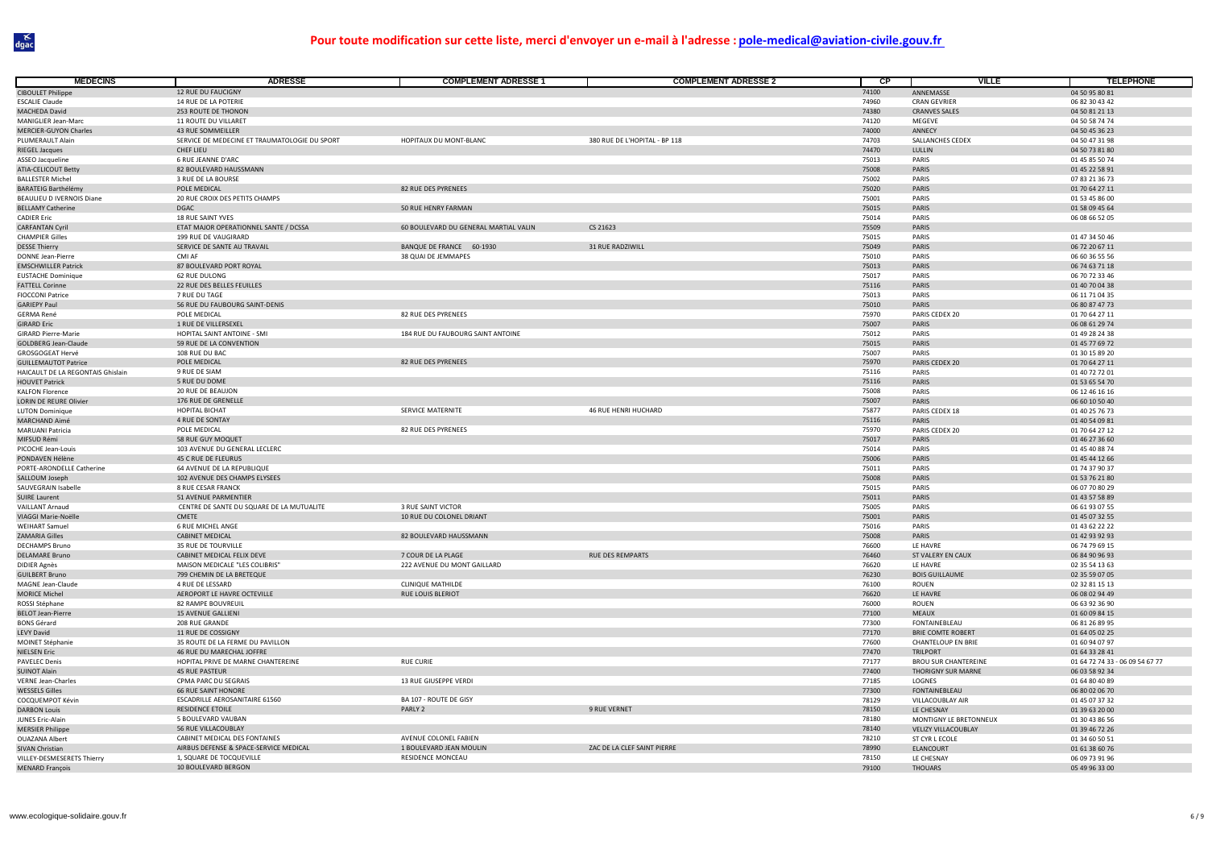| <b>MÉDECINS</b>                                                  | <b>ADRESSE</b>                                | <b>COMPLEMENT ADRESSE 1</b>           | <b>COMPLEMENT ADRESSE 2</b>   | <b>CP</b>      | <b>VILLE</b>                | <b>TELEPHONE</b>                 |
|------------------------------------------------------------------|-----------------------------------------------|---------------------------------------|-------------------------------|----------------|-----------------------------|----------------------------------|
| <b>CIBOULET Philippe</b>                                         | 12 RUE DU FAUCIGNY                            |                                       |                               | 74100          | ANNEMASSE                   | 04 50 95 80 81                   |
| <b>ESCALIE Claude</b>                                            | 14 RUE DE LA POTERIE                          |                                       |                               | 74960          | <b>CRAN GEVRIER</b>         | 06 82 30 43 42                   |
| MACHEDA David                                                    | 253 ROUTE DE THONON                           |                                       |                               | 74380          | <b>CRANVES SALES</b>        | 04 50 81 21 13                   |
| MANIGLIER Jean-Marc                                              | 11 ROUTE DU VILLARET                          |                                       |                               | 74120          | MEGEVE                      | 04 50 58 74 74                   |
| MERCIER-GUYON Charles                                            | <b>43 RUE SOMMEILLER</b>                      |                                       |                               | 74000          | ANNECY                      | 04 50 45 36 23                   |
| PLUMERAULT Alain                                                 | SERVICE DE MEDECINE ET TRAUMATOLOGIE DU SPORT | HOPITAUX DU MONT-BLANC                | 380 RUE DE L'HOPITAL - BP 118 | 74703          | SALLANCHES CEDEX            | 04 50 47 31 98                   |
| RIEGEL Jacques                                                   | CHEF LIEU                                     |                                       |                               | 74470          | LULLIN                      | 04 50 73 81 80                   |
| ASSEO Jacqueline                                                 | 6 RUE JEANNE D'ARC                            |                                       |                               | 75013          | PARIS                       | 01 45 85 50 74                   |
| ATIA-CELICOUT Betty                                              | 82 BOULEVARD HAUSSMANN                        |                                       |                               | 75008          | PARIS                       | 01 45 22 58 91                   |
| <b>BALLESTER Michel</b>                                          | 3 RUE DE LA BOURSE                            |                                       |                               | 75002          | PARIS                       | 07 83 21 36 73                   |
| <b>BARATEIG Barthélémy</b>                                       | POLE MEDICAL                                  | 82 RUE DES PYRENEES                   |                               | 75020          | PARIS                       | 01 70 64 27 11                   |
| BEAULIEU D IVERNOIS Diane                                        | 20 RUE CROIX DES PETITS CHAMPS                |                                       |                               | 75001          | PARIS                       | 01 53 45 86 00                   |
| <b>BELLAMY Catherine</b>                                         | <b>DGAC</b>                                   | 50 RUE HENRY FARMAN                   |                               | 75015          | PARIS                       | 01 58 09 45 64                   |
| <b>CADIER Eric</b>                                               | 18 RUE SAINT YVES                             |                                       |                               | 75014          | PARIS                       | 06 08 66 52 05                   |
| <b>CARFANTAN Cyril</b>                                           | ETAT MAJOR OPERATIONNEL SANTE / DCSSA         | 60 BOULEVARD DU GENERAL MARTIAL VALIN | CS 21623                      | 75509          | PARIS                       |                                  |
| <b>CHAMPIER Gilles</b>                                           | 199 RUE DE VAUGIRARD                          |                                       |                               | 75015          | PARIS                       | 01 47 34 50 46                   |
| <b>DESSE Thierry</b>                                             | SERVICE DE SANTE AU TRAVAIL                   | BANQUE DE FRANCE 60-1930              | 31 RUE RADZIWILL              | 75049          | PARIS                       | 06 72 20 67 11                   |
| DONNE Jean-Pierre                                                | CMI AF                                        | 38 QUAI DE JEMMAPES                   |                               | 75010          | PARIS                       | 06 60 36 55 56                   |
| <b>EMSCHWILLER Patrick</b>                                       | 87 BOULEVARD PORT ROYAL                       |                                       |                               | 75013          | PARIS                       | 06 74 63 71 18                   |
| <b>EUSTACHE Dominique</b>                                        | 62 RUE DULONG                                 |                                       |                               | 75017          | PARIS                       | 06 70 72 33 46                   |
| <b>FATTELL Corinne</b>                                           | 22 RUE DES BELLES FEUILLES                    |                                       |                               | 75116          | PARIS                       | 01 40 70 04 38                   |
| <b>FIOCCONI Patrice</b>                                          | 7 RUE DU TAGE                                 |                                       |                               | 75013          | PARIS                       | 06 11 71 04 35                   |
| <b>GARIEPY Paul</b>                                              | 56 RUE DU FAUBOURG SAINT-DENIS                |                                       |                               | 75010          | PARIS                       | 06 80 87 47 73                   |
| <b>GERMA René</b>                                                | POLE MEDICAL                                  | 82 RUE DES PYRENEES                   |                               | 75970          | PARIS CEDEX 20              | 01 70 64 27 11                   |
| <b>GIRARD Eric</b>                                               | 1 RUE DE VILLERSEXEL                          |                                       |                               | 75007          | PARIS                       | 06 08 61 29 74                   |
| <b>GIRARD Pierre-Marie</b>                                       | HOPITAL SAINT ANTOINE - SMI                   | 184 RUE DU FAUBOURG SAINT ANTOINE     |                               | 75012          | PARIS                       | 01 49 28 24 38                   |
| <b>GOLDBERG Jean-Claude</b>                                      | 59 RUE DE LA CONVENTION                       |                                       |                               | 75015          | PARIS                       | 01 45 77 69 72                   |
| GROSGOGEAT Hervé                                                 | 108 RUE DU BAC<br>POLE MEDICAL                | 82 RUE DES PYRENEES                   |                               | 75007<br>75970 | PARIS                       | 01 30 15 89 20                   |
| <b>GUILLEMAUTOT Patrice</b><br>HAICAULT DE LA REGONTAIS Ghislain | 9 RUE DE SIAM                                 |                                       |                               |                | PARIS CEDEX 20<br>PARIS     | 01 70 64 27 11<br>01 40 72 72 01 |
| <b>HOUVET Patrick</b>                                            | 5 RUE DU DOME                                 |                                       |                               | 75116          | PARIS                       |                                  |
| <b>KALFON Florence</b>                                           | 20 RUE DE BEAUJON                             |                                       |                               | 75116<br>75008 | PARIS                       | 01 53 65 54 70<br>06 12 46 16 16 |
| LORIN DE REURE Olivier                                           | 176 RUE DE GRENELLE                           |                                       |                               | 75007          | PARIS                       | 06 60 10 50 40                   |
| <b>LUTON Dominique</b>                                           | <b>HOPITAL BICHAT</b>                         | SERVICE MATERNITE                     | 46 RUE HENRI HUCHARD          | 75877          | PARIS CEDEX 18              | 01 40 25 76 73                   |
| MARCHAND Aimé                                                    | 4 RUE DE SONTAY                               |                                       |                               | 75116          | PARIS                       | 01 40 54 09 81                   |
| MARUANI Patricia                                                 | POLE MEDICAL                                  | 82 RUE DES PYRENEES                   |                               | 75970          | PARIS CEDEX 20              | 01 70 64 27 12                   |
| MIFSUD Rémi                                                      | 58 RUE GUY MOQUET                             |                                       |                               | 75017          | PARIS                       | 01 46 27 36 60                   |
| PICOCHE Jean-Louis                                               | 103 AVENUE DU GENERAL LECLERC                 |                                       |                               | 75014          | PARIS                       | 01 45 40 88 74                   |
| PONDAVEN Hélène                                                  | 45 C RUE DE FLEURUS                           |                                       |                               | 75006          | PARIS                       | 01 45 44 12 66                   |
| PORTE-ARONDELLE Catherine                                        | 64 AVENUE DE LA REPUBLIQUE                    |                                       |                               | 75011          | PARIS                       | 01 74 37 90 37                   |
| SALLOUM Joseph                                                   | 102 AVENUE DES CHAMPS ELYSEES                 |                                       |                               | 75008          | PARIS                       | 01 53 76 21 80                   |
| SAUVEGRAIN Isabelle                                              | 8 RUE CESAR FRANCK                            |                                       |                               | 75015          | PARIS                       | 06 07 70 80 29                   |
| <b>SUIRE Laurent</b>                                             | 51 AVENUE PARMENTIER                          |                                       |                               | 75011          | PARIS                       | 01 43 57 58 89                   |
| <b>VAILLANT Arnaud</b>                                           | CENTRE DE SANTE DU SQUARE DE LA MUTUALITE     | 3 RUE SAINT VICTOR                    |                               | 75005          | PARIS                       | 06 61 93 07 55                   |
| VIAGGI Marie-Noëlle                                              | <b>CMETE</b>                                  | 10 RUE DU COLONEL DRIANT              |                               | 75001          | PARIS                       | 01 45 07 32 55                   |
| <b>WEIHART Samuel</b>                                            | <b>6 RUE MICHEL ANGE</b>                      |                                       |                               | 75016          | PARIS                       | 01 43 62 22 22                   |
| ZAMARIA Gilles                                                   | <b>CABINET MEDICAL</b>                        | 82 BOULEVARD HAUSSMANN                |                               | 75008          | PARIS                       | 01 42 93 92 93                   |
| <b>DECHAMPS Brund</b>                                            | 35 RUE DE TOURVILLE                           |                                       |                               | 76600          | LE HAVRE                    | 06 74 79 69 15                   |
| <b>DELAMARE Bruno</b>                                            | CABINET MEDICAL FELIX DEVE                    | 7 COUR DE LA PLAGE                    | RUE DES REMPARTS              | 76460          | ST VALERY EN CAUX           | 06 84 90 96 93                   |
| <b>DIDIER Agnès</b>                                              | MAISON MEDICALE "LES COLIBRIS"                | 222 AVENUE DU MONT GAILLARD           |                               | 76620          | LE HAVRE                    | 02 35 54 13 63                   |
| <b>GUILBERT Bruno</b>                                            | 799 CHEMIN DE LA BRETEQUE                     |                                       |                               | 76230          | <b>BOIS GUILLAUME</b>       | 02 35 59 07 05                   |
| <b>MAGNE Jean-Claude</b>                                         | 4 RUE DE LESSARD                              | <b>CLINIQUE MATHILDE</b>              |                               | 76100          | <b>ROUEN</b>                | 02 32 81 15 13                   |
| <b>MORICE Michel</b>                                             | AEROPORT LE HAVRE OCTEVILLE                   | <b>RUE LOUIS BLERIOT</b>              |                               | 76620          | LE HAVRE                    | 06 08 02 94 49                   |
| ROSSI Stéphane                                                   | 82 RAMPE BOUVREUIL                            |                                       |                               | 76000          | ROUEN                       | 06 63 92 36 90                   |
| <b>BELOT Jean-Pierre</b>                                         | <b>15 AVENUE GALLIENI</b>                     |                                       |                               | 77100          | <b>MEAUX</b>                | 01 60 09 84 15                   |
| <b>BONS Gérard</b>                                               | 208 RUE GRANDE                                |                                       |                               | 77300          | <b>FONTAINEBLEAU</b>        | 06 81 26 89 95                   |
| <b>LEVY David</b>                                                | 11 RUE DE COSSIGNY                            |                                       |                               | 77170          | <b>BRIE COMTE ROBERT</b>    | 01 64 05 02 25                   |
| MOINET Stéphanie                                                 | 35 ROUTE DE LA FERME DU PAVILLON              |                                       |                               | 77600          | <b>CHANTELOUP EN BRIE</b>   | 01 60 94 07 97                   |
| <b>NIELSEN Eric</b>                                              | 46 RUE DU MARECHAL JOFFRE                     |                                       |                               | 77470          | <b>TRILPORT</b>             | 01 64 33 28 41                   |
| <b>PAVELEC Denis</b>                                             | HOPITAL PRIVE DE MARNE CHANTEREINE            | RUE CURIE                             |                               | 77177          | <b>BROU SUR CHANTEREINE</b> | 01 64 72 74 33 - 06 09 54 67 77  |
| <b>SUINOT Alain</b>                                              | <b>45 RUE PASTEUR</b>                         |                                       |                               | 77400          | <b>THORIGNY SUR MARNE</b>   | 06 03 58 92 34                   |
| <b>VERNE Jean-Charles</b>                                        | CPMA PARC DU SEGRAIS                          | 13 RUE GIUSEPPE VERDI                 |                               | 77185          | LOGNES                      | 01 64 80 40 89                   |
| <b>WESSELS Gilles</b>                                            | <b>66 RUE SAINT HONORE</b>                    |                                       |                               | 77300          | <b>FONTAINEBLEAU</b>        | 06 80 02 06 70                   |
| COCQUEMPOT Kévin                                                 | ESCADRILLE AEROSANITAIRE 61560                | BA 107 - ROUTE DE GISY                |                               | 78129          | VILLACOUBLAY AIR            | 01 45 07 37 32                   |
| <b>DARBON Louis</b>                                              | RESIDENCE ETOILE                              | PARLY 2                               | 9 RUE VERNET                  | 78150          | LE CHESNAY                  | 01 39 63 20 00                   |
| <b>JUNES Eric-Alain</b>                                          | 5 BOULEVARD VAUBAN                            |                                       |                               | 78180          | MONTIGNY LE BRETONNEUX      | 01 30 43 86 56                   |
| <b>MERSIER Philippe</b>                                          | 56 RUE VILLACOUBLAY                           |                                       |                               | 78140          | VELIZY VILLACOUBLAY         | 01 39 46 72 26                   |
| <b>OUAZANA Albert</b>                                            | CABINET MEDICAL DES FONTAINES                 | AVENUE COLONEL FABIEN                 |                               | 78210          | ST CYR L ECOLE              | 01 34 60 50 51                   |
| SIVAN Christian                                                  | AIRBUS DEFENSE & SPACE-SERVICE MEDICAL        | 1 BOULEVARD JEAN MOULIN               | ZAC DE LA CLEF SAINT PIERRE   | 78990          | ELANCOURT                   | 01 61 38 60 76                   |
| VILLEY-DESMESERETS Thierry                                       | 1, SQUARE DE TOCQUEVILLE                      | RESIDENCE MONCEAU                     |                               | 78150          | LE CHESNAY                  | 06 09 73 91 96                   |
| <b>MENARD François</b>                                           | 10 BOULEVARD BERGON                           |                                       |                               | 79100          | <b>THOUARS</b>              | 05 49 96 33 00                   |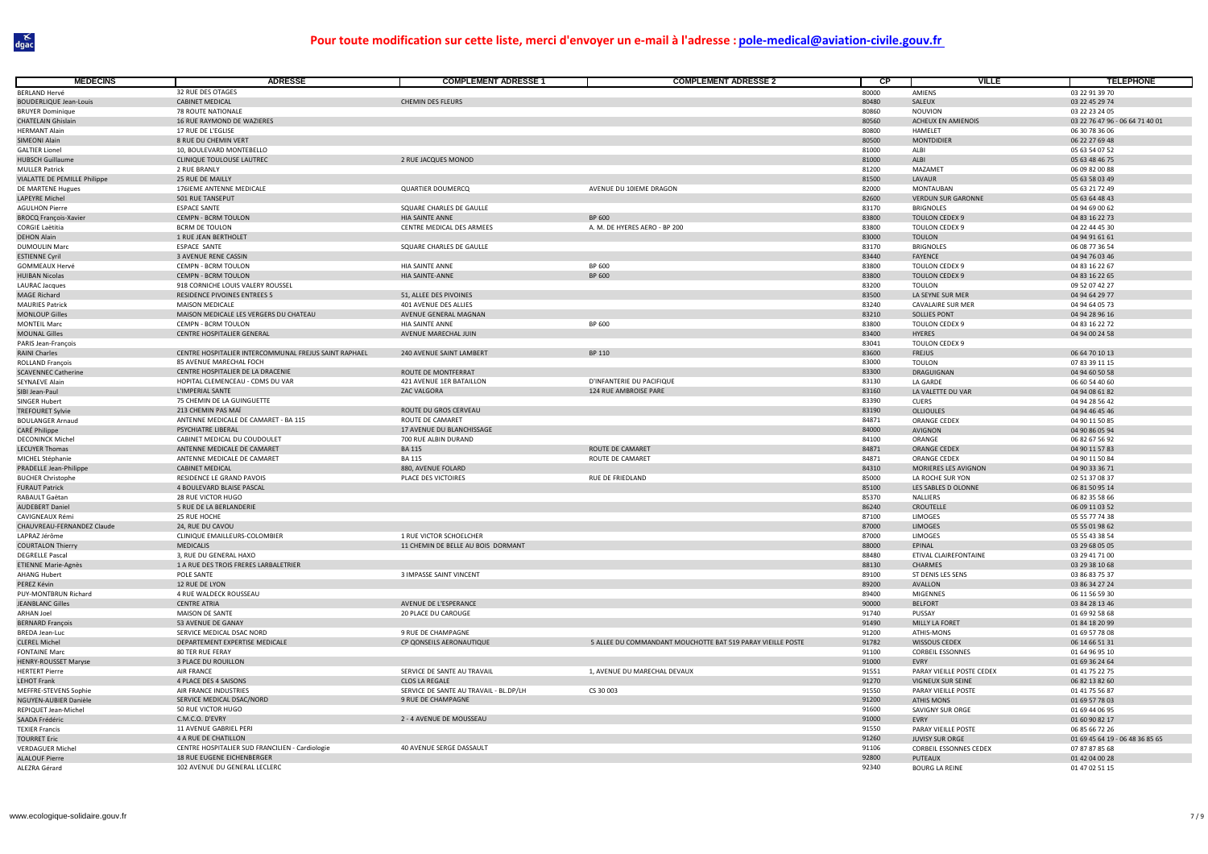| <b>MEDECINS</b>               | <b>ADRESSE</b>                                        | <b>COMPLEMENT ADRESSE 1</b>            | <b>COMPLEMENT ADRESSE 2</b>                                 | СP    | <b>VILLE</b>                  | <b>TELEPHONE</b>                |
|-------------------------------|-------------------------------------------------------|----------------------------------------|-------------------------------------------------------------|-------|-------------------------------|---------------------------------|
| <b>BERLAND Hervé</b>          | 32 RUE DES OTAGES                                     |                                        |                                                             | 80000 | AMIFNS                        | 03 22 91 39 70                  |
| <b>BOUDERLIQUE Jean-Louis</b> | <b>CABINET MEDICAL</b>                                | CHEMIN DES FLEURS                      |                                                             | 80480 | SALEUX                        | 03 22 45 29 74                  |
| <b>BRUYER Dominique</b>       | 78 ROUTE NATIONALE                                    |                                        |                                                             | 80860 | NOUVION                       | 03 22 23 24 05                  |
| <b>CHATELAIN Ghislain</b>     | 16 RUE RAYMOND DE WAZIERES                            |                                        |                                                             | 80560 | ACHEUX EN AMIENOIS            | 03 22 76 47 96 - 06 64 71 40 01 |
| <b>HERMANT Alain</b>          | 17 RUE DE L'EGLISE                                    |                                        |                                                             | 80800 | HAMELET                       | 06 30 78 36 06                  |
| SIMEONI Alain                 | 8 RUE DU CHEMIN VERT                                  |                                        |                                                             | 80500 | <b>MONTDIDIER</b>             | 06 22 27 69 48                  |
| <b>GALTIER Lionel</b>         | 10, BOULEVARD MONTEBELLO                              |                                        |                                                             | 81000 | ALBI                          | 05 63 54 07 52                  |
| <b>HUBSCH Guillaume</b>       | CLINIQUE TOULOUSE LAUTREC                             | 2 RUE JACQUES MONOD                    |                                                             | 81000 | ALBI                          | 05 63 48 46 75                  |
| <b>MULLER Patrick</b>         | 2 RUE BRANLY                                          |                                        |                                                             | 81200 | MAZAMET                       | 06 09 82 00 88                  |
| VIALATTE DE PEMILLE Philippe  | 25 RUE DE MAILLY                                      |                                        |                                                             | 81500 | LAVAUR                        | 05 63 58 03 49                  |
| DE MARTENE Hugues             | 176IEME ANTENNE MEDICALE                              | <b>QUARTIER DOUMERCQ</b>               | AVENUE DU 10IEME DRAGON                                     | 82000 | MONTAUBAN                     | 05 63 21 72 49                  |
| LAPEYRE Michel                | 501 RUE TANSEPUT                                      |                                        |                                                             | 82600 | <b>VERDUN SUR GARONNE</b>     | 05 63 64 48 43                  |
| <b>AGULHON Pierre</b>         | <b>ESPACE SANTE</b>                                   | SQUARE CHARLES DE GAULLE               |                                                             | 83170 | <b>BRIGNOLES</b>              | 04 94 69 00 62                  |
| <b>BROCQ François-Xavier</b>  | <b>CEMPN - BCRM TOULON</b>                            | HIA SAINTE ANNE                        | BP 600                                                      | 83800 | <b>TOULON CEDEX 9</b>         | 04 83 16 22 73                  |
| <b>CORGIE Laëtitia</b>        | <b>BCRM DE TOULON</b>                                 | CENTRE MEDICAL DES ARMEES              | A. M. DE HYERES AERO - BP 200                               | 83800 | <b>TOULON CEDEX 9</b>         | 04 22 44 45 30                  |
| <b>DEHON Alain</b>            | 1 RUE JEAN BERTHOLET                                  |                                        |                                                             | 83000 | <b>TOULON</b>                 | 04 94 91 61 61                  |
| DUMOULIN Marc                 | ESPACE SANTE                                          | SQUARE CHARLES DE GAULLE               |                                                             | 83170 | <b>BRIGNOLES</b>              | 06 08 77 36 54                  |
| <b>ESTIENNE Cyril</b>         | 3 AVENUE RENE CASSIN                                  |                                        |                                                             | 83440 | <b>FAYENCE</b>                | 04 94 76 03 46                  |
| <b>GOMMEAUX Hervé</b>         | CEMPN - BCRM TOULON                                   | HIA SAINTE ANNE                        | BP 600                                                      | 83800 | TOULON CEDEX 9                | 04 83 16 22 67                  |
| <b>HUIBAN Nicolas</b>         | CEMPN - BCRM TOULON                                   | HIA SAINTE-ANNE                        | BP 600                                                      | 83800 | <b>TOULON CEDEX 9</b>         | 04 83 16 22 65                  |
| <b>LAURAC Jacques</b>         | 918 CORNICHE LOUIS VALERY ROUSSEL                     |                                        |                                                             | 83200 | <b>TOULON</b>                 | 09 52 07 42 27                  |
| <b>MAGE Richard</b>           | RESIDENCE PIVOINES ENTREES 5                          | 51, ALLEE DES PIVOINES                 |                                                             | 83500 | LA SEYNE SUR MER              | 04 94 64 29 77                  |
| <b>MAURIES Patrick</b>        | MAISON MEDICALE                                       | 401 AVENUE DES ALLIES                  |                                                             | 83240 | <b>CAVALAIRE SUR MER</b>      | 04 94 64 05 73                  |
| <b>MONLOUP Gilles</b>         | MAISON MEDICALE LES VERGERS DU CHATEAU                | AVENUE GENERAL MAGNAN                  |                                                             | 83210 | <b>SOLLIES PONT</b>           | 04 94 28 96 16                  |
| <b>MONTEIL Marc</b>           | CEMPN - BCRM TOULON                                   | <b>HIA SAINTE ANNE</b>                 | BP 600                                                      | 83800 | <b>TOULON CEDEX 9</b>         | 04 83 16 22 72                  |
| <b>MOUNAL Gilles</b>          | CENTRE HOSPITALIER GENERAL                            | AVENUE MARECHAL JUIN                   |                                                             | 83400 | HYERES                        | 04 94 00 24 58                  |
| PARIS Jean-François           |                                                       |                                        |                                                             | 83041 | <b>TOULON CEDEX 9</b>         |                                 |
| RAINI Charles                 | CENTRE HOSPITALIER INTERCOMMUNAL FREJUS SAINT RAPHAEL | 240 AVENUE SAINT LAMBERT               | BP 110                                                      | 83600 | <b>FREJUS</b>                 | 06 64 70 10 13                  |
| ROLLAND François              | 85 AVENUE MARECHAL FOCH                               |                                        |                                                             | 83000 | <b>TOULON</b>                 | 07 83 39 11 15                  |
| <b>SCAVENNEC Catherine</b>    | CENTRE HOSPITALIER DE LA DRACENIE                     | ROUTE DE MONTFERRAT                    |                                                             | 83300 | <b>DRAGUIGNAN</b>             | 04 94 60 50 58                  |
| SEYNAEVE Alain                | HOPITAL CLEMENCEAU - CDMS DU VAR                      | 421 AVENUE 1ER BATAILLON               | D'INFANTERIE DU PACIFIQUE                                   | 83130 | LA GARDE                      | 06 60 54 40 60                  |
| SIBI Jean-Paul                | L'IMPERIAL SANTE                                      | ZAC VALGORA                            | 124 RUE AMBROISE PARE                                       | 83160 | LA VALETTE DU VAR             | 04 94 08 61 82                  |
| SINGER Hubert                 | 75 CHEMIN DE LA GUINGUETTE                            |                                        |                                                             | 83390 | <b>CUERS</b>                  | 04 94 28 56 42                  |
| <b>TREFOURET Sylvie</b>       | 213 CHEMIN PAS MAÏ                                    | ROUTE DU GROS CERVEAU                  |                                                             | 83190 | <b>OLLIOULES</b>              | 04 94 46 45 46                  |
| <b>BOULANGER Arnaud</b>       | ANTENNE MEDICALE DE CAMARET - BA 115                  | ROUTE DE CAMARET                       |                                                             | 84871 | ORANGE CEDEX                  | 04 90 11 50 85                  |
| CARÉ Philippe                 | PSYCHIATRE LIBERAL                                    | 17 AVENUE DU BLANCHISSAGE              |                                                             | 84000 | AVIGNON                       | 04 90 86 05 94                  |
| <b>DECONINCK Michel</b>       | CABINET MEDICAL DU COUDOULET                          | 700 RUE ALBIN DURAND                   |                                                             | 84100 | ORANGE                        | 06 82 67 56 92                  |
| <b>LECUYER Thomas</b>         | ANTENNE MEDICALE DE CAMARET                           | <b>BA 115</b>                          | ROUTE DE CAMARET                                            | 84871 | <b>ORANGE CEDEX</b>           | 04 90 11 57 83                  |
| MICHEL Stéphanie              | ANTENNE MEDICALE DE CAMARET                           | <b>BA 115</b>                          | ROUTE DE CAMARET                                            | 84871 | <b>ORANGE CEDEX</b>           | 04 90 11 50 84                  |
| PRADELLE Jean-Philippe        | <b>CABINET MEDICAL</b>                                | 880, AVENUE FOLARD                     |                                                             | 84310 | MORIERES LES AVIGNON          | 04 90 33 36 71                  |
| <b>BUCHER Christophe</b>      | RESIDENCE LE GRAND PAVOIS                             | PLACE DES VICTOIRES                    | RUE DE FRIEDLAND                                            | 85000 | LA ROCHE SUR YON              | 02 51 37 08 37                  |
| <b>FURAUT Patrick</b>         | 4 BOULEVARD BLAISE PASCAL                             |                                        |                                                             | 85100 | LES SABLES D OLONNE           | 06 81 50 95 14                  |
| RABAULT Gaëtan                | 28 RUE VICTOR HUGO                                    |                                        |                                                             | 85370 | <b>NALLIERS</b>               | 06 82 35 58 66                  |
| <b>AUDEBERT Daniel</b>        | 5 RUE DE LA BERLANDERIE                               |                                        |                                                             | 86240 | CROUTELLE                     | 06 09 11 03 52                  |
| CAVIGNEAUX Rémi               | 25 RUE HOCHE                                          |                                        |                                                             | 87100 | LIMOGES                       | 05 55 77 74 38                  |
| CHAUVREAU-FERNANDEZ Claude    | 24, RUE DU CAVOU                                      |                                        |                                                             | 87000 | LIMOGES                       | 05 55 01 98 62                  |
| LAPRAZ Jérôme                 | CLINIQUE EMAILLEURS-COLOMBIER                         | 1 RUE VICTOR SCHOELCHER                |                                                             | 87000 | LIMOGES                       | 05 55 43 38 54                  |
| <b>COURTALON Thierry</b>      | <b>MEDICALIS</b>                                      | 11 CHEMIN DE BELLE AU BOIS DORMANT     |                                                             | 88000 | FPINAL                        | 03 29 68 05 05                  |
| <b>DEGRELLE Pasca</b>         | 3, RUE DU GENERAL HAXO                                |                                        |                                                             | 88480 | ETIVAL CLAIREFONTAINE         | 03 29 41 71 00                  |
| <b>ETIENNE Marie-Agnès</b>    | 1 A RUE DES TROIS FRERES LARBALETRIER                 |                                        |                                                             | 88130 | CHARMES                       | 03 29 38 10 68                  |
| <b>AHANG Hubert</b>           | POLE SANTE                                            | 3 IMPASSE SAINT VINCENT                |                                                             | 89100 | ST DENIS LES SENS             | 03 86 83 75 37                  |
| PEREZ Kévin                   | 12 RUE DE LYON                                        |                                        |                                                             | 89200 | AVALLON                       | 03 86 34 27 24                  |
| PUY-MONTBRUN Richard          | 4 RUE WALDECK ROUSSEAU                                |                                        |                                                             | 89400 | <b>MIGENNES</b>               | 06 11 56 59 30                  |
| <b>JEANBLANC Gilles</b>       | <b>CENTRE ATRIA</b>                                   | AVENUE DE L'ESPERANCE                  |                                                             | 90000 | <b>BELFORT</b>                | 03 84 28 13 46                  |
| ARHAN Joel                    | MAISON DE SANTE                                       | 20 PLACE DU CAROUGE                    |                                                             | 91740 | PUSSAY                        | 01 69 92 58 68                  |
| <b>BERNARD François</b>       | 53 AVENUE DE GANAY                                    |                                        |                                                             | 91490 | MILLY LA FORET                | 01 84 18 20 99                  |
| <b>BREDA Jean-Luc</b>         | SERVICE MEDICAL DSAC NORD                             | 9 RUE DE CHAMPAGNE                     |                                                             | 91200 | ATHIS-MONS                    | 01 69 57 78 08                  |
| <b>CLEREL Michel</b>          | DEPARTEMENT EXPERTISE MEDICALE                        | CP QONSEILS AERONAUTIQUE               | 5 ALLEE DU COMMANDANT MOUCHOTTE BAT 519 PARAY VIEILLE POSTE | 91782 | WISSOUS CEDEX                 | 06 14 66 51 31                  |
| <b>FONTAINE Marc</b>          | 80 TER RUE FERAY                                      |                                        |                                                             | 91100 | <b>CORBEIL ESSONNES</b>       | 01 64 96 95 10                  |
| <b>HENRY-ROUSSET Maryse</b>   | <b>3 PLACE DU ROUILLON</b>                            |                                        |                                                             | 91000 | EVRY                          | 01 69 36 24 64                  |
| <b>HERTERT Pierre</b>         | <b>AIR FRANCE</b>                                     | SERVICE DE SANTE AU TRAVAIL            | 1, AVENUE DU MARECHAL DEVAUX                                | 91551 | PARAY VIEILLE POSTE CEDEX     | 01 41 75 22 75                  |
| LEHOT Frank                   | 4 PLACE DES 4 SAISONS                                 | <b>CLOS LA REGALE</b>                  |                                                             | 91270 | VIGNEUX SUR SEINE             | 06 82 13 82 60                  |
| MEFFRE-STEVENS Sophie         | AIR FRANCE INDUSTRIES                                 | SERVICE DE SANTE AU TRAVAIL - BL.DP/LH | CS 30 003                                                   | 91550 | PARAY VIEILLE POSTE           | 01 41 75 56 87                  |
| NGUYEN-AUBIER Danièle         | SERVICE MEDICAL DSAC/NORD                             | 9 RUE DE CHAMPAGNE                     |                                                             | 91200 | <b>ATHIS MONS</b>             | 01 69 57 78 03                  |
| REPIQUET Jean-Michel          | 50 RUE VICTOR HUGO                                    |                                        |                                                             | 91600 | SAVIGNY SUR ORGE              | 01 69 44 06 95                  |
| SAADA Frédéric                | C.M.C.O. D'EVRY                                       | 2 - 4 AVENUE DE MOUSSEAU               |                                                             | 91000 | EVRY                          | 01 60 90 82 17                  |
| <b>TEXIER Francis</b>         | 11 AVENUE GABRIEL PERI                                |                                        |                                                             | 91550 | PARAY VIEILLE POSTE           | 06 85 66 72 26                  |
| <b>TOURRET Eric</b>           | 4 A RUE DE CHATILLON                                  |                                        |                                                             | 91260 | <b>JUVISY SUR ORGE</b>        | 01 69 45 64 19 - 06 48 36 85 65 |
| <b>VERDAGUER Michel</b>       | CENTRE HOSPITALIER SUD FRANCILIEN - Cardiologie       | 40 AVENUE SERGE DASSAULT               |                                                             | 91106 | <b>CORBEIL ESSONNES CEDEX</b> | 07 87 87 85 68                  |
| <b>ALALOUF Pierre</b>         | 18 RUE EUGENE EICHENBERGER                            |                                        |                                                             | 92800 | PUTEAUX                       | 01 42 04 00 28                  |
| ALEZRA Gérard                 | 102 AVENUE DU GENERAL LECLERC                         |                                        |                                                             | 92340 | <b>BOURG LA REINE</b>         | 01 47 02 51 15                  |
|                               |                                                       |                                        |                                                             |       |                               |                                 |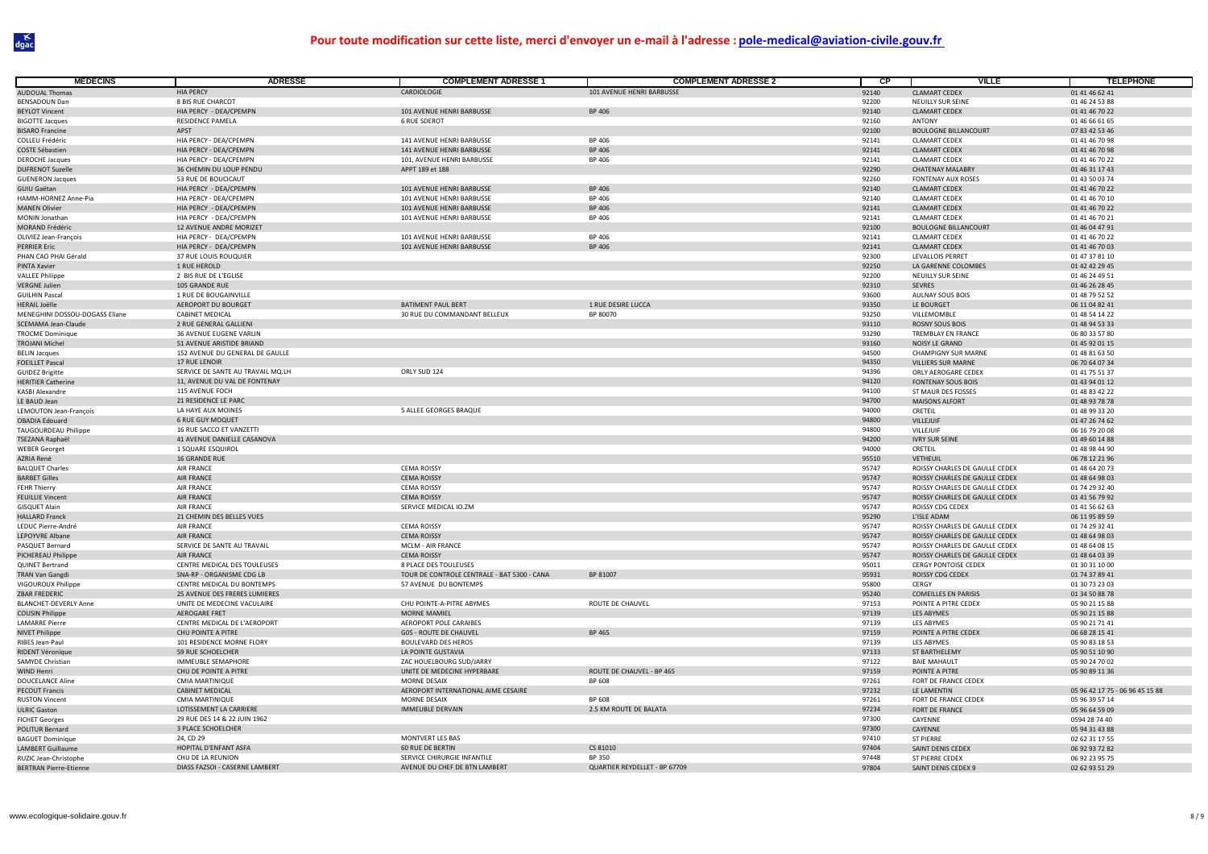| <b>MÉDECINS</b>                                  | <b>ADRESSE</b>                                    | <b>COMPLEMENT ADRESSE 1</b>                      | <b>COMPLEMENT ADRESSE 2</b>    | $\overline{CP}$ | <b>VILLE</b>                                                     | <b>TELEPHONE</b>                 |
|--------------------------------------------------|---------------------------------------------------|--------------------------------------------------|--------------------------------|-----------------|------------------------------------------------------------------|----------------------------------|
| <b>AUDOUAL Thomas</b>                            | <b>HIA PFRCY</b>                                  | CARDIOLOGIE                                      | 101 AVENUE HENRI BARBUSSE      | 92140           | CLAMART CEDEX                                                    | 01 41 46 62 41                   |
| <b>BENSADOUN Dan</b>                             | 8 BIS RUE CHARCOT                                 |                                                  |                                | 92200           | NEUILLY SUR SEINE                                                | 01 46 24 53 88                   |
| <b>BEYLOT Vincent</b>                            | HIA PERCY - DEA/CPEMPN                            | 101 AVENUE HENRI BARBUSSE                        | BP 406                         | 92140           | <b>CLAMART CEDEX</b>                                             | 01 41 46 70 22                   |
| <b>BIGOTTE Jacques</b>                           | RESIDENCE PAMELA                                  | <b>6 RUE SDEROT</b>                              |                                | 92160           | ANTONY                                                           | 01 46 66 61 65                   |
| <b>BISARO Francine</b>                           | APST                                              |                                                  |                                | 92100           | <b>BOULOGNE BILLANCOURT</b>                                      | 07 83 42 53 46                   |
| COLLEU Frédéric                                  | HIA PERCY - DEA/CPEMPN                            | 141 AVENUE HENRI BARBUSSE                        | <b>BP 406</b>                  | 92141           | <b>CLAMART CEDEX</b>                                             | 01 41 46 70 98                   |
| <b>COSTE Sébastien</b><br><b>DEROCHE Jacques</b> | HIA PERCY - DEA/CPEMPN                            | <b>141 AVENUE HENRI BARBUSSE</b>                 | <b>BP 406</b><br>BP 406        | 92141<br>92141  | <b>CLAMART CEDEX</b><br><b>CLAMART CEDEX</b>                     | 01 41 46 70 98                   |
| <b>DUFRENOT Suzelle</b>                          | HIA PERCY - DEA/CPEMPN<br>36 CHEMIN DU LOUP PENDU | 101, AVENUE HENRI BARBUSSE<br>APPT 189 et 188    |                                | 92290           | <b>CHATENAY MALABRY</b>                                          | 01 41 46 70 22<br>01 46 31 17 43 |
| <b>GUENERON Jacques</b>                          | 53 RUE DE BOUCICAUT                               |                                                  |                                | 92260           | FONTENAY AUX ROSES                                               | 01 43 50 03 74                   |
| GUIU Gaëtan                                      | HIA PERCY - DEA/CPEMPN                            | 101 AVENUE HENRI BARBUSSE                        | <b>BP 406</b>                  | 92140           | <b>CLAMART CEDEX</b>                                             | 01 41 46 70 22                   |
| HAMM-HORNEZ Anne-Pia                             | HIA PERCY - DEA/CPEMPN                            | 101 AVENUE HENRI BARBUSSE                        | BP 406                         | 92140           | <b>CLAMART CEDEX</b>                                             | 01 41 46 70 10                   |
| <b>MANEN Olivier</b>                             | HIA PERCY - DEA/CPEMPN                            | 101 AVENUE HENRI BARBUSSE                        | <b>BP 406</b>                  | 92141           | <b>CLAMART CEDEX</b>                                             | 01 41 46 70 22                   |
| <b>MONIN</b> Jonathan                            | HIA PERCY - DEA/CPEMPN                            | 101 AVENUE HENRI BARBUSSE                        | <b>BP 406</b>                  | 92141           | <b>CLAMART CEDEX</b>                                             | 01 41 46 70 21                   |
| <b>MORAND Frédéric</b>                           | 12 AVENUE ANDRE MORIZET                           |                                                  |                                | 92100           | <b>BOULOGNE BILLANCOURT</b>                                      | 01 46 04 47 91                   |
| OLIVIEZ Jean-François                            | HIA PERCY - DEA/CPEMPN                            | 101 AVENUE HENRI BARBUSSE                        | <b>BP 406</b>                  | 92141           | <b>CLAMART CEDEX</b>                                             | 01 41 46 70 22                   |
| <b>PERRIER Eric</b>                              | HIA PERCY - DEA/CPEMPN                            | 101 AVENUE HENRI BARBUSSE                        | <b>BP 406</b>                  | 92141           | <b>CLAMART CEDEX</b>                                             | 01 41 46 70 03                   |
| PHAN CAO PHAI Gérald                             | 37 RUE LOUIS ROUQUIER                             |                                                  |                                | 92300           | <b>LEVALLOIS PERRET</b>                                          | 01 47 37 81 10                   |
| <b>PINTA Xavier</b>                              | 1 RUE HEROLD                                      |                                                  |                                | 92250           | LA GARENNE COLOMBES                                              | 01 42 42 29 45                   |
| <b>VALLEE Philippe</b>                           | 2 BIS RUE DE L'EGLISE                             |                                                  |                                | 92200           | NEUILLY SUR SEINE                                                | 01 46 24 49 51                   |
| <b>VERGNE Julien</b>                             | 105 GRANDE RUE                                    |                                                  |                                | 92310           | SEVRES                                                           | 01 46 26 28 45                   |
| <b>GUILHIN Pasca</b>                             | 1 RUE DE BOUGAINVILLE                             |                                                  |                                | 93600           | AULNAY SOUS BOIS                                                 | 01 48 79 52 52                   |
| <b>HERAIL Joëlle</b>                             | AEROPORT DU BOURGET<br>CABINET MEDICAL            | <b>BATIMENT PAUL BERT</b>                        | 1 RUE DESIRE LUCCA<br>BP 80070 | 93350<br>93250  | LE BOURGET                                                       | 06 11 04 82 41                   |
| MENEGHINI DOSSOU-DOGASS Eliane                   |                                                   | 30 RUE DU COMMANDANT BELLEUX                     |                                |                 | VILLEMOMBLE                                                      | 01 48 54 14 22                   |
| SCEMAMA Jean-Claude<br><b>TROCME Dominique</b>   | 2 RUE GENERAL GALLIENI<br>36 AVENUE EUGENE VARLIN |                                                  |                                | 93110<br>93290  | <b>ROSNY SOUS BOIS</b><br>TREMBLAY EN FRANCE                     | 01 48 94 53 33<br>06 80 33 57 80 |
| <b>TROJANI Michel</b>                            | 51 AVENUE ARISTIDE BRIAND                         |                                                  |                                | 93160           | NOISY LE GRAND                                                   | 01 45 92 01 15                   |
| <b>BELIN Jacques</b>                             | 152 AVENUE DU GENERAL DE GAULLE                   |                                                  |                                | 94500           | <b>CHAMPIGNY SUR MARNE</b>                                       | 01 48 81 63 50                   |
| <b>FOEILLET Pascal</b>                           | 17 RUE LENOIR                                     |                                                  |                                | 94350           | VILLIERS SUR MARNE                                               | 06 70 64 07 34                   |
| <b>GUIDEZ Brigitte</b>                           | SERVICE DE SANTE AU TRAVAIL MQ.LH                 | ORLY SUD 124                                     |                                | 94396           | ORLY AEROGARE CEDEX                                              | 01 41 75 51 37                   |
| <b>HERITIER Catherine</b>                        | 11. AVENUE DU VAL DE FONTENAY                     |                                                  |                                | 94120           | <b>FONTENAY SOUS BOIS</b>                                        | 01 43 94 01 12                   |
| KASBI Alexandre                                  | 115 AVENUE FOCH                                   |                                                  |                                | 94100           | ST MAUR DES FOSSES                                               | 01 48 83 42 22                   |
| LE BAUD Jean                                     | 21 RESIDENCE LE PARC                              |                                                  |                                | 94700           | <b>MAISONS ALFORT</b>                                            | 01 48 93 78 78                   |
| LEMOUTON Jean-François                           | LA HAYE AUX MOINES                                | 5 ALLEE GEORGES BRAQUE                           |                                | 94000           | CRETEIL                                                          | 01 48 99 33 20                   |
| <b>OBADIA Edouard</b>                            | <b>6 RUE GUY MOQUET</b>                           |                                                  |                                | 94800           | VILLEJUIF                                                        | 01 47 26 74 62                   |
| TAUGOURDEAU Philippe                             | 16 RUE SACCO ET VANZETTI                          |                                                  |                                | 94800           | VILLEJUIF                                                        | 06 16 79 20 08                   |
| TSEZANA Raphaël                                  | 41 AVENUE DANIELLE CASANOVA                       |                                                  |                                | 94200           | <b>IVRY SUR SEINE</b>                                            | 01 49 60 14 88                   |
| <b>WEBER Georget</b>                             | 1 SQUARE ESQUIROL                                 |                                                  |                                | 94000           | CRETEIL                                                          | 01 48 98 44 90                   |
| AZRIA René                                       | <b>16 GRANDE RUE</b>                              |                                                  |                                | 95510           | VETHEUIL                                                         | 06 78 12 21 96                   |
| <b>BALQUET Charles</b>                           | <b>AIR FRANCE</b><br><b>AIR FRANCE</b>            | <b>CEMA ROISSY</b>                               |                                | 95747           | ROISSY CHARLES DE GAULLE CEDEX                                   | 01 48 64 20 73                   |
| <b>BARBET Gilles</b>                             | AIR FRANCE                                        | <b>CEMA ROISSY</b><br><b>CEMA ROISSY</b>         |                                | 95747<br>95747  | ROISSY CHARLES DE GAULLE CEDEX<br>ROISSY CHARLES DE GAULLE CEDEX | 01 48 64 98 03<br>01 74 29 32 40 |
| <b>FEHR Thierry</b><br><b>FEUILLIE Vincent</b>   | <b>AIR FRANCE</b>                                 | <b>CEMA ROISSY</b>                               |                                | 95747           | ROISSY CHARLES DE GAULLE CEDEX                                   | 01 41 56 79 92                   |
| <b>GISQUET Alain</b>                             | AIR FRANCE                                        | SERVICE MEDICAL IO.ZM                            |                                | 95747           | ROISSY CDG CEDEX                                                 | 01 41 56 62 63                   |
| <b>HALLARD Franck</b>                            | 21 CHEMIN DES BELLES VUES                         |                                                  |                                | 95290           | L'ISLE ADAM                                                      | 06 11 95 89 59                   |
| LEDUC Pierre-André                               | AIR FRANCE                                        | <b>CEMA ROISSY</b>                               |                                | 95747           | ROISSY CHARLES DE GAULLE CEDEX                                   | 01 74 29 32 41                   |
| <b>LEPOYVRE Albane</b>                           | AIR FRANCE                                        | <b>CEMA ROISSY</b>                               |                                | 95747           | ROISSY CHARLES DE GAULLE CEDEX                                   | 01 48 64 98 03                   |
| PASQUET Bernard                                  | SERVICE DE SANTE AU TRAVAIL                       | <b>MCLM - AIR FRANCE</b>                         |                                | 95747           | ROISSY CHARLES DE GAULLE CEDEX                                   | 01 48 64 08 15                   |
| PICHEREAU Philippe                               | <b>AIR FRANCE</b>                                 | <b>CEMA ROISSY</b>                               |                                | 95747           | ROISSY CHARLES DE GAULLE CEDEX                                   | 01 48 64 03 39                   |
| QUINET Bertrand                                  | CENTRE MEDICAL DES TOULEUSES                      | 8 PLACE DES TOULEUSES                            |                                | 95011           | CERGY PONTOISE CEDEX                                             | 01 30 31 10 00                   |
| TRAN Van Gangdi                                  | SNA-RP - ORGANISME CDG LB                         | TOUR DE CONTROLE CENTRALE - BAT 5300 - CANA      | BP 81007                       | 95931           | ROISSY CDG CEDEX                                                 | 01 74 37 89 41                   |
| VIGOUROUX Philippe                               | CENTRE MEDICAL DU BONTEMPS                        | 57 AVENUE DU BONTEMPS                            |                                | 95800           | CERGY                                                            | 01 30 73 23 03                   |
| ZBAR FREDERIC                                    | 25 AVENUE DES FRERES LUMIERES                     |                                                  |                                | 95240           | <b>COMEILLES EN PARISIS</b>                                      | 01 34 50 88 78                   |
| <b>BLANCHET-DEVERLY Anne</b>                     | UNITE DE MEDECINE VACULAIRE                       | CHU POINTE-A-PITRE ABYMES                        | ROUTE DE CHAUVEL               | 97153           | POINTE A PITRE CEDEX                                             | 05 90 21 15 88                   |
| <b>COUSIN Philippe</b>                           | AEROGARE FRET                                     | <b>MORNE MAMIEL</b>                              |                                | 97139           | LES ABYMES                                                       | 05 90 21 15 88                   |
| <b>LAMARRE Pierre</b>                            | CENTRE MEDICAL DE L'AEROPORT                      | AEROPORT POLE CARAIBES                           |                                | 97139           | LES ABYMES                                                       | 05 90 21 71 41                   |
| NIVET Philippe                                   | CHU POINTE A PITRE                                | <b>G05 - ROUTE DE CHAUVEL</b>                    | <b>BP 465</b>                  | 97159           | POINTE A PITRE CEDEX                                             | 06 68 28 15 41                   |
| RIBES Jean-Paul<br>RIDENT Véronique              | 101 RESIDENCE MORNE FLORY<br>59 RUE SCHOELCHER    | <b>BOULEVARD DES HEROS</b><br>LA POINTE GUSTAVIA |                                | 97139<br>97133  | <b>LES ABYMES</b><br>ST BARTHELEMY                               | 05 90 83 18 53<br>05 90 51 10 90 |
| <b>SAMYDE Christian</b>                          | IMMEUBLE SEMAPHORE                                | ZAC HOUELBOURG SUD/JARRY                         |                                | 97122           | <b>BAIE MAHAULT</b>                                              | 05 90 24 70 02                   |
| <b>WIND Henri</b>                                | CHU DE POINTE A PITRE                             | UNITE DE MEDECINE HYPERBARE                      | ROUTE DE CHAUVEL - BP 465      | 97159           | POINTE A PITRE                                                   | 05 90 89 11 36                   |
| <b>DOUCELANCE Aline</b>                          | <b>CMIA MARTINIQUE</b>                            | <b>MORNE DESAIX</b>                              | BP 608                         | 97261           | FORT DE FRANCE CEDEX                                             |                                  |
| <b>PECOUT Francis</b>                            | <b>CABINET MEDICAL</b>                            | AEROPORT INTERNATIONAL AIME CESAIRE              |                                | 97232           | LE LAMENTIN                                                      | 05 96 42 17 75 - 06 96 45 15 88  |
| <b>RUSTON Vincent</b>                            | <b>CMIA MARTINIQUE</b>                            | MORNE DESAIX                                     | <b>BP 608</b>                  | 97261           | FORT DE FRANCE CEDEX                                             | 05 96 39 57 14                   |
| <b>ULRIC Gaston</b>                              | LOTISSEMENT LA CARRIERE                           | <b>IMMEUBLE DERVAIN</b>                          | 2.5 KM ROUTE DE BALATA         | 97234           | FORT DE FRANCE                                                   | 05 96 64 59 09                   |
| <b>FICHET Georges</b>                            | 29 RUE DES 14 & 22 JUIN 1962                      |                                                  |                                | 97300           | CAYENNE                                                          | 0594 28 74 40                    |
| <b>POLITUR Bernard</b>                           | 3 PLACE SCHOELCHER                                |                                                  |                                | 97300           | CAYENNE                                                          | 05 94 31 43 88                   |
| <b>BAGUET Dominique</b>                          | 24. CD 29                                         | MONTVERT LES BAS                                 |                                | 97410           | <b>ST PIERRE</b>                                                 | 02 62 31 17 55                   |
| <b>LAMBERT Guillaume</b>                         | HOPITAL D'ENFANT ASFA                             | <b>60 RUE DE BERTIN</b>                          | CS 81010                       | 97404           | SAINT DENIS CEDEX                                                | 06 92 93 72 82                   |
| RUZIC Jean-Christophe                            | CHU DE LA REUNION                                 | SERVICE CHIRURGIE INFANTILE                      | BP 350                         | 97448           | ST PIERRE CEDEX                                                  | 06 92 23 95 75                   |
| <b>BERTRAN Pierre-Etienne</b>                    | DIASS FAZSOI - CASERNE LAMBERT                    | AVENUE DU CHEF DE BTN LAMBERT                    | QUARTIER REYDELLET - BP 67709  | 97804           | SAINT DENIS CEDEX 9                                              | 02 62 93 51 29                   |